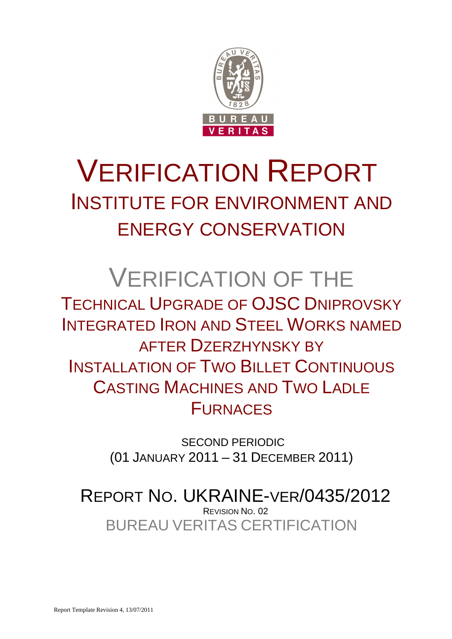

# VERIFICATION REPORT INSTITUTE FOR ENVIRONMENT AND ENERGY CONSERVATION

# VERIFICATION OF THE

TECHNICAL UPGRADE OF OJSC DNIPROVSKY INTEGRATED IRON AND STEEL WORKS NAMED AFTER DZERZHYNSKY BY INSTALLATION OF TWO BILLET CONTINUOUS CASTING MACHINES AND TWO LADLE **FURNACES** 

> SECOND PERIODIC (01 JANUARY 2011 – 31 DECEMBER 2011)

BUREAU VERITAS CERTIFICATION REPORT NO. UKRAINE-VER/0435/2012 REVISION NO. 02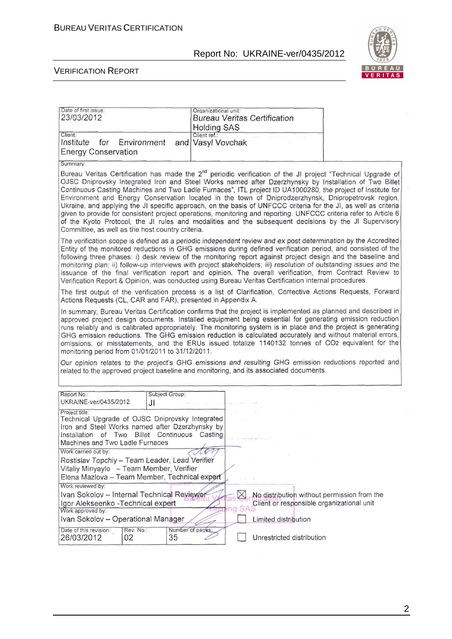

| Date of first issue:<br>23/03/2012                                                                                                                                                                                                                                                                                                                                              | Organizational unit:<br><b>Bureau Veritas Certification</b><br><b>Holding SAS</b>                                                                                                                                                                                                                                                                                                                                                                                                                                                                                                                                                                                                                                                                                                                      |
|---------------------------------------------------------------------------------------------------------------------------------------------------------------------------------------------------------------------------------------------------------------------------------------------------------------------------------------------------------------------------------|--------------------------------------------------------------------------------------------------------------------------------------------------------------------------------------------------------------------------------------------------------------------------------------------------------------------------------------------------------------------------------------------------------------------------------------------------------------------------------------------------------------------------------------------------------------------------------------------------------------------------------------------------------------------------------------------------------------------------------------------------------------------------------------------------------|
| Client:<br>Institute<br>Environment<br>for<br><b>Energy Conservation</b>                                                                                                                                                                                                                                                                                                        | Client ref.:<br>and Vasyl Vovchak                                                                                                                                                                                                                                                                                                                                                                                                                                                                                                                                                                                                                                                                                                                                                                      |
| Summary:                                                                                                                                                                                                                                                                                                                                                                        |                                                                                                                                                                                                                                                                                                                                                                                                                                                                                                                                                                                                                                                                                                                                                                                                        |
| Committee, as well as the host country criteria.                                                                                                                                                                                                                                                                                                                                | Bureau Veritas Certification has made the 2 <sup>nd</sup> periodic verification of the JI project "Technical Upgrade of<br>OJSC Dniprovsky Integrated Iron and Steel Works named after Dzerzhynsky by Installation of Two Billet<br>Continuous Casting Machines and Two Ladle Furnaces", ITL project ID UA1000280, the project of Institute for<br>Environment and Energy Conservation located in the town of Dniprodzerzhynsk, Dnipropetrovsk region,<br>Ukraine, and applying the JI specific approach, on the basis of UNFCCC criteria for the JI, as well as criteria<br>given to provide for consistent project operations, monitoring and reporting. UNFCCC criteria refer to Article 6<br>of the Kyoto Protocol, the JI rules and modalities and the subsequent decisions by the JI Supervisory |
|                                                                                                                                                                                                                                                                                                                                                                                 | The verification scope is defined as a periodic independent review and ex post determination by the Accredited<br>Entity of the monitored reductions in GHG emissions during defined verification period, and consisted of the<br>following three phases: i) desk review of the monitoring report against project design and the baseline and<br>monitoring plan; ii) follow-up interviews with project stakeholders; iii) resolution of outstanding issues and the<br>issuance of the final verification report and opinion. The overall verification, from Contract Review to<br>Verification Report & Opinion, was conducted using Bureau Veritas Certification internal procedures.                                                                                                                |
| Actions Requests (CL, CAR and FAR), presented in Appendix A.                                                                                                                                                                                                                                                                                                                    | The first output of the verification process is a list of Clarification, Corrective Actions Requests, Forward                                                                                                                                                                                                                                                                                                                                                                                                                                                                                                                                                                                                                                                                                          |
| monitoring period from 01/01/2011 to 31/12/2011.                                                                                                                                                                                                                                                                                                                                | In summary, Bureau Veritas Certification confirms that the project is implemented as planned and described in<br>approved project design documents. Installed equipment being essential for generating emission reduction<br>runs reliably and is calibrated appropriately. The monitoring system is in place and the project is generating<br>GHG emission reductions. The GHG emission reduction is calculated accurately and without material errors,<br>omissions, or misstatements, and the ERUs issued totalize 1140132 tonnes of CO2 equivalent for the<br>Our opinion relates to the project's GHG emissions and resulting GHG emission reductions reported and<br>related to the approved project baseline and monitoring, and its associated documents.                                      |
|                                                                                                                                                                                                                                                                                                                                                                                 |                                                                                                                                                                                                                                                                                                                                                                                                                                                                                                                                                                                                                                                                                                                                                                                                        |
| Subject Group:<br>Report No.:<br>UKRAINE-ver/0435/2012<br>JI                                                                                                                                                                                                                                                                                                                    |                                                                                                                                                                                                                                                                                                                                                                                                                                                                                                                                                                                                                                                                                                                                                                                                        |
| Project title:<br>Technical Upgrade of OJSC Dniprovsky Integrated<br>Iron and Steel Works named after Dzerzhynsky by<br>Installation of Two Billet Continuous Casting<br>Machines and Two Ladle Furnaces<br>Work carried out by:<br>Rostislav Topchiy - Team Leader, Lead Verifier<br>Vitaliy Minyaylo - Team Member, Verifier<br>Elena Mazlova - Team Member, Technical expert | non                                                                                                                                                                                                                                                                                                                                                                                                                                                                                                                                                                                                                                                                                                                                                                                                    |
| Work reviewed by:<br>Ivan Sokolov - Internal Technical Reviewer                                                                                                                                                                                                                                                                                                                 | No distribution without permission from the<br>$\boxtimes$<br>Client or responsible organizational unit                                                                                                                                                                                                                                                                                                                                                                                                                                                                                                                                                                                                                                                                                                |
| Igor Alekseenko - Technical expert<br>Work approved by:                                                                                                                                                                                                                                                                                                                         | nq                                                                                                                                                                                                                                                                                                                                                                                                                                                                                                                                                                                                                                                                                                                                                                                                     |
| Ivan Sokolov - Operational Manager                                                                                                                                                                                                                                                                                                                                              | Limited distribution                                                                                                                                                                                                                                                                                                                                                                                                                                                                                                                                                                                                                                                                                                                                                                                   |
| Rev. No.:<br>Number of pages:<br>Date of this revision:<br>26/03/2012<br>02<br>35                                                                                                                                                                                                                                                                                               | Unrestricted distribution                                                                                                                                                                                                                                                                                                                                                                                                                                                                                                                                                                                                                                                                                                                                                                              |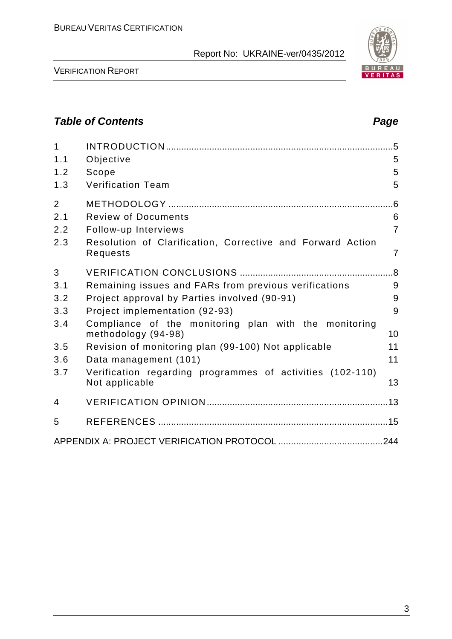VERIFICATION REPORT

# **Table of Contents Page 2014**

| $\mathbf{1}$<br>1.1<br>1.2<br>1.3 | Objective<br>Scope<br><b>Verification Team</b>                               | 5<br>5<br>5    |
|-----------------------------------|------------------------------------------------------------------------------|----------------|
| $\overline{2}$<br>2.1             | <b>Review of Documents</b>                                                   | 6              |
| 2.2                               | Follow-up Interviews                                                         | $\overline{7}$ |
| 2.3                               | Resolution of Clarification, Corrective and Forward Action<br>Requests       | $\overline{7}$ |
| 3                                 |                                                                              |                |
| 3.1                               | Remaining issues and FARs from previous verifications                        | 9              |
| 3.2                               | Project approval by Parties involved (90-91)                                 | 9              |
| 3.3                               | Project implementation (92-93)                                               | 9              |
| 3.4                               | Compliance of the monitoring plan with the monitoring<br>methodology (94-98) | 10             |
| 3.5                               | Revision of monitoring plan (99-100) Not applicable                          | 11             |
| 3.6                               | Data management (101)                                                        | 11             |
| 3.7                               | Verification regarding programmes of activities (102-110)<br>Not applicable  | 13             |
| 4                                 |                                                                              |                |
| 5                                 |                                                                              |                |
|                                   |                                                                              |                |

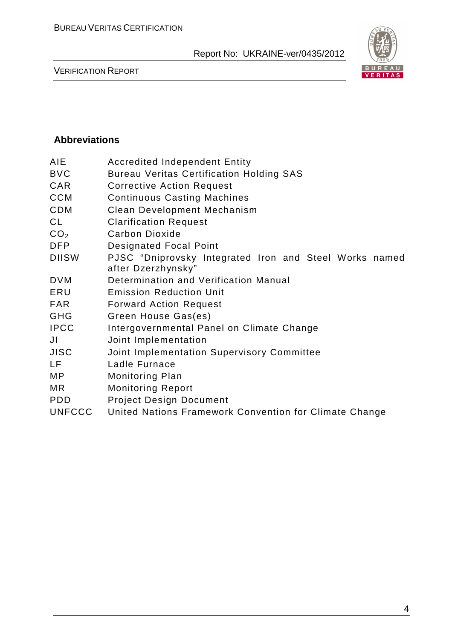

VERIFICATION REPORT

# **Abbreviations**

| AIE             | <b>Accredited Independent Entity</b>                                         |
|-----------------|------------------------------------------------------------------------------|
| <b>BVC</b>      | <b>Bureau Veritas Certification Holding SAS</b>                              |
| <b>CAR</b>      | <b>Corrective Action Request</b>                                             |
| <b>CCM</b>      | <b>Continuous Casting Machines</b>                                           |
| <b>CDM</b>      | Clean Development Mechanism                                                  |
| <b>CL</b>       | <b>Clarification Request</b>                                                 |
| CO <sub>2</sub> | <b>Carbon Dioxide</b>                                                        |
| <b>DFP</b>      | <b>Designated Focal Point</b>                                                |
| <b>DIISW</b>    | PJSC "Dniprovsky Integrated Iron and Steel Works named<br>after Dzerzhynsky" |
| <b>DVM</b>      | Determination and Verification Manual                                        |
| ERU             | <b>Emission Reduction Unit</b>                                               |
| <b>FAR</b>      | <b>Forward Action Request</b>                                                |
| <b>GHG</b>      | Green House Gas(es)                                                          |
| <b>IPCC</b>     | Intergovernmental Panel on Climate Change                                    |
| JI              | Joint Implementation                                                         |
| <b>JISC</b>     | Joint Implementation Supervisory Committee                                   |
| LF              | Ladle Furnace                                                                |
| МP              | <b>Monitoring Plan</b>                                                       |
| MR.             | <b>Monitoring Report</b>                                                     |
| <b>PDD</b>      | <b>Project Design Document</b>                                               |
| <b>UNFCCC</b>   | United Nations Framework Convention for Climate Change                       |
|                 |                                                                              |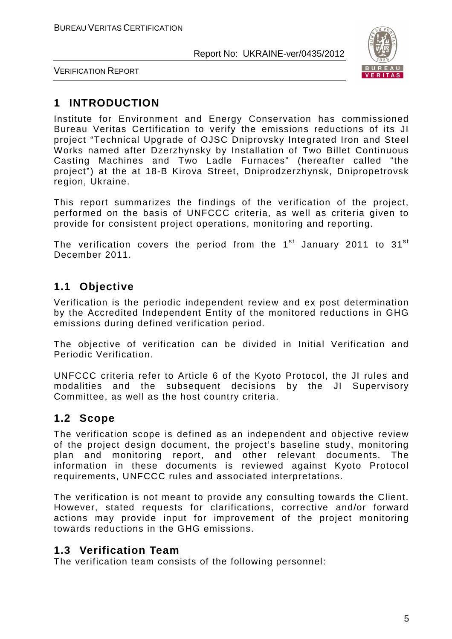

VERIFICATION REPORT

# **1 INTRODUCTION**

Institute for Environment and Energy Conservation has commissioned Bureau Veritas Certification to verify the emissions reductions of its JI project "Technical Upgrade of OJSC Dniprovsky Integrated Iron and Steel Works named after Dzerzhynsky by Installation of Two Billet Continuous Casting Machines and Two Ladle Furnaces" (hereafter called "the project") at the at 18-B Kirova Street, Dniprodzerzhynsk, Dnipropetrovsk region, Ukraine.

This report summarizes the findings of the verification of the project, performed on the basis of UNFCCC criteria, as well as criteria given to provide for consistent project operations, monitoring and reporting.

The verification covers the period from the  $1<sup>st</sup>$  January 2011 to 31<sup>st</sup> December 2011.

# **1.1 Objective**

Verification is the periodic independent review and ex post determination by the Accredited Independent Entity of the monitored reductions in GHG emissions during defined verification period.

The objective of verification can be divided in Initial Verification and Periodic Verification.

UNFCCC criteria refer to Article 6 of the Kyoto Protocol, the JI rules and modalities and the subsequent decisions by the JI Supervisory Committee, as well as the host country criteria.

# **1.2 Scope**

The verification scope is defined as an independent and objective review of the project design document, the project's baseline study, monitoring plan and monitoring report, and other relevant documents. The information in these documents is reviewed against Kyoto Protocol requirements, UNFCCC rules and associated interpretations.

The verification is not meant to provide any consulting towards the Client. However, stated requests for clarifications, corrective and/or forward actions may provide input for improvement of the project monitoring towards reductions in the GHG emissions.

# **1.3 Verification Team**

The verification team consists of the following personnel: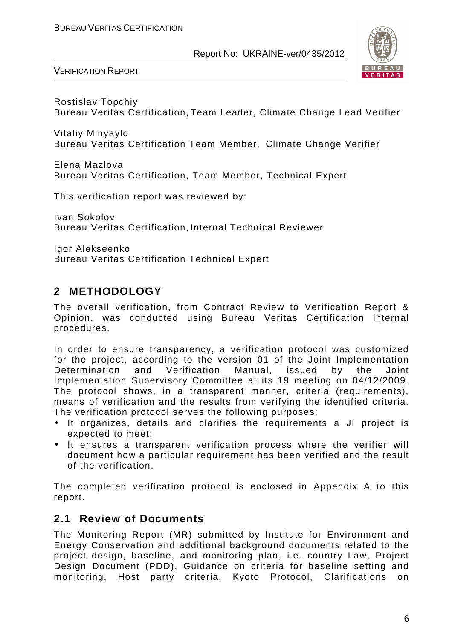

VERIFICATION REPORT

Rostislav Topchiy Bureau Veritas Certification, Team Leader, Climate Change Lead Verifier

Vitaliy Minyaylo Bureau Veritas Certification Team Member, Climate Change Verifier

Elena Mazlova Bureau Veritas Certification, Team Member, Technical Expert

This verification report was reviewed by:

Ivan Sokolov Bureau Veritas Certification, Internal Technical Reviewer

Igor Alekseenko Bureau Veritas Certification Technical Expert

# **2 METHODOLOGY**

The overall verification, from Contract Review to Verification Report & Opinion, was conducted using Bureau Veritas Certification internal procedures.

In order to ensure transparency, a verification protocol was customized for the project, according to the version 01 of the Joint Implementation Determination and Verification Manual, issued by the Joint Implementation Supervisory Committee at its 19 meeting on 04/12/2009. The protocol shows, in a transparent manner, criteria (requirements), means of verification and the results from verifying the identified criteria. The verification protocol serves the following purposes:

- It organizes, details and clarifies the requirements a JI project is expected to meet;
- It ensures a transparent verification process where the verifier will document how a particular requirement has been verified and the result of the verification.

The completed verification protocol is enclosed in Appendix A to this report.

# **2.1 Review of Documents**

The Monitoring Report (MR) submitted by Institute for Environment and Energy Conservation and additional background documents related to the project design, baseline, and monitoring plan, i.e. country Law, Project Design Document (PDD), Guidance on criteria for baseline setting and monitoring, Host party criteria, Kyoto Protocol, Clarifications on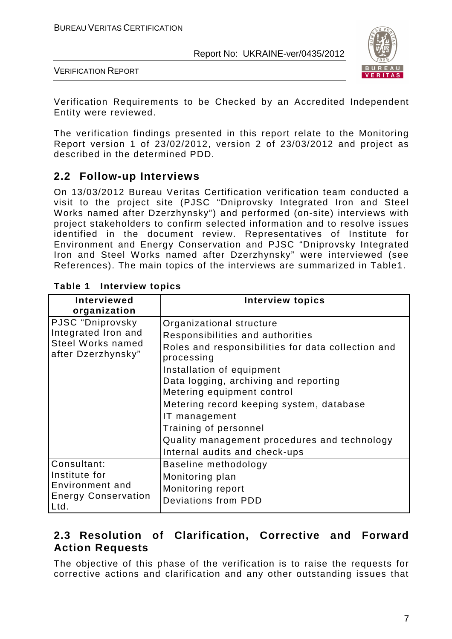

VERIFICATION REPORT

Verification Requirements to be Checked by an Accredited Independent Entity were reviewed.

The verification findings presented in this report relate to the Monitoring Report version 1 of 23/02/2012, version 2 of 23/03/2012 and project as described in the determined PDD.

# **2.2 Follow-up Interviews**

On 13/03/2012 Bureau Veritas Certification verification team conducted a visit to the project site (PJSC "Dniprovsky Integrated Iron and Steel Works named after Dzerzhynsky") and performed (on-site) interviews with project stakeholders to confirm selected information and to resolve issues identified in the document review. Representatives of Institute for Environment and Energy Conservation and PJSC "Dniprovsky Integrated Iron and Steel Works named after Dzerzhynsky" were interviewed (see References). The main topics of the interviews are summarized in Table1.

| Interviewed                                    | Interview topics                                                 |
|------------------------------------------------|------------------------------------------------------------------|
| organization                                   |                                                                  |
| PJSC "Dniprovsky                               | Organizational structure                                         |
| Integrated Iron and                            | Responsibilities and authorities                                 |
| <b>Steel Works named</b><br>after Dzerzhynsky" | Roles and responsibilities for data collection and<br>processing |
|                                                | Installation of equipment                                        |
|                                                | Data logging, archiving and reporting                            |
|                                                | Metering equipment control                                       |
|                                                | Metering record keeping system, database                         |
|                                                | IT management                                                    |
|                                                | Training of personnel                                            |
|                                                | Quality management procedures and technology                     |
|                                                | Internal audits and check-ups                                    |
| Consultant:                                    | Baseline methodology                                             |
| Institute for                                  | Monitoring plan                                                  |
| Environment and                                | Monitoring report                                                |
| <b>Energy Conservation</b><br>Ltd.             | Deviations from PDD                                              |

# **Table 1 Interview topics**

# **2.3 Resolution of Clarification, Corrective and Forward Action Requests**

The objective of this phase of the verification is to raise the requests for corrective actions and clarification and any other outstanding issues that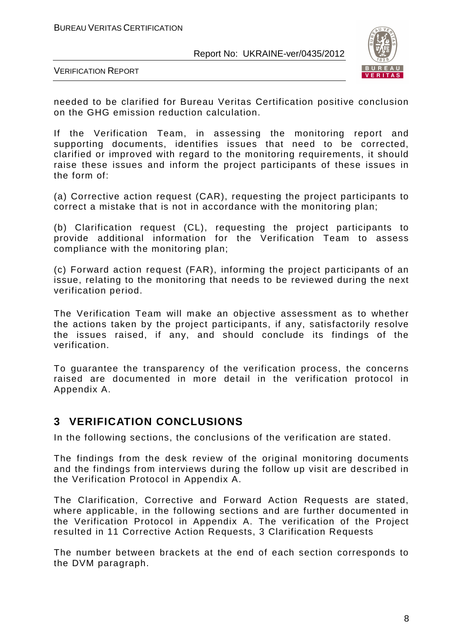

VERIFICATION REPORT

needed to be clarified for Bureau Veritas Certification positive conclusion on the GHG emission reduction calculation.

If the Verification Team, in assessing the monitoring report and supporting documents, identifies issues that need to be corrected, clarified or improved with regard to the monitoring requirements, it should raise these issues and inform the project participants of these issues in the form of:

(a) Corrective action request (CAR), requesting the project participants to correct a mistake that is not in accordance with the monitoring plan;

(b) Clarification request (CL), requesting the project participants to provide additional information for the Verification Team to assess compliance with the monitoring plan;

(c) Forward action request (FAR), informing the project participants of an issue, relating to the monitoring that needs to be reviewed during the next verification period.

The Verification Team will make an objective assessment as to whether the actions taken by the project participants, if any, satisfactorily resolve the issues raised, if any, and should conclude its findings of the verification.

To guarantee the transparency of the verification process, the concerns raised are documented in more detail in the verification protocol in Appendix A.

# **3 VERIFICATION CONCLUSIONS**

In the following sections, the conclusions of the verification are stated.

The findings from the desk review of the original monitoring documents and the findings from interviews during the follow up visit are described in the Verification Protocol in Appendix A.

The Clarification, Corrective and Forward Action Requests are stated, where applicable, in the following sections and are further documented in the Verification Protocol in Appendix A. The verification of the Project resulted in 11 Corrective Action Requests, 3 Clarification Requests

The number between brackets at the end of each section corresponds to the DVM paragraph.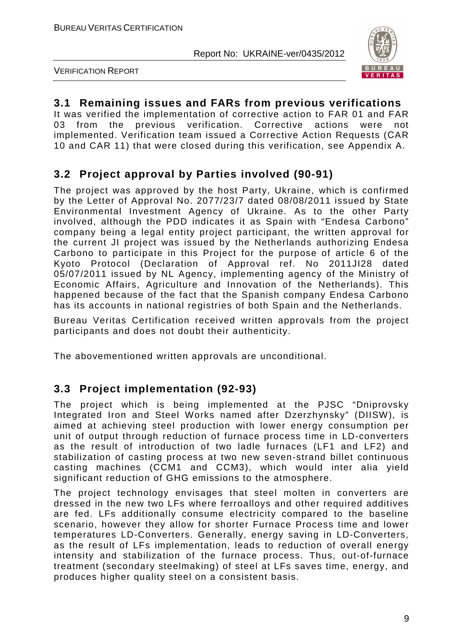

VERIFICATION REPORT

# **3.1 Remaining issues and FARs from previous verifications**

It was verified the implementation of corrective action to FAR 01 and FAR 03 from the previous verification. Corrective actions were not implemented. Verification team issued a Corrective Action Requests (СAR 10 and CAR 11) that were closed during this verification, see Appendix A.

# **3.2 Project approval by Parties involved (90-91)**

The project was approved by the host Party, Ukraine, which is confirmed by the Letter of Approval No. 2077/23/7 dated 08/08/2011 issued by State Environmental Investment Agency of Ukraine. As to the other Party involved, although the PDD indicates it as Spain with "Endesa Carbono" company being a legal entity project participant, the written approval for the current JI project was issued by the Netherlands authorizing Endesa Carbono to participate in this Project for the purpose of article 6 of the Kyoto Protocol (Declaration of Approval ref. No 2011JI28 dated 05/07/2011 issued by NL Agency, implementing agency of the Ministry of Economic Affairs, Agriculture and Innovation of the Netherlands). This happened because of the fact that the Spanish company Endesa Carbono has its accounts in national registries of both Spain and the Netherlands.

Bureau Veritas Certification received written approvals from the project participants and does not doubt their authenticity.

The abovementioned written approvals are unconditional.

# **3.3 Project implementation (92-93)**

The project which is being implemented at the PJSC "Dniprovsky Integrated Iron and Steel Works named after Dzerzhynsky" (DIISW), is aimed at achieving steel production with lower energy consumption per unit of output through reduction of furnace process time in LD-converters as the result of introduction of two ladle furnaces (LF1 and LF2) and stabilization of casting process at two new seven-strand billet continuous casting machines (CCM1 and CCM3), which would inter alia yield significant reduction of GHG emissions to the atmosphere.

The project technology envisages that steel molten in converters are dressed in the new two LFs where ferroalloys and other required additives are fed. LFs additionally consume electricity compared to the baseline scenario, however they allow for shorter Furnace Process time and lower temperatures LD-Converters. Generally, energy saving in LD-Converters, as the result of LFs implementation, leads to reduction of overall energy intensity and stabilization of the furnace process. Thus, out-of-furnace treatment (secondary steelmaking) of steel at LFs saves time, energy, and produces higher quality steel on a consistent basis.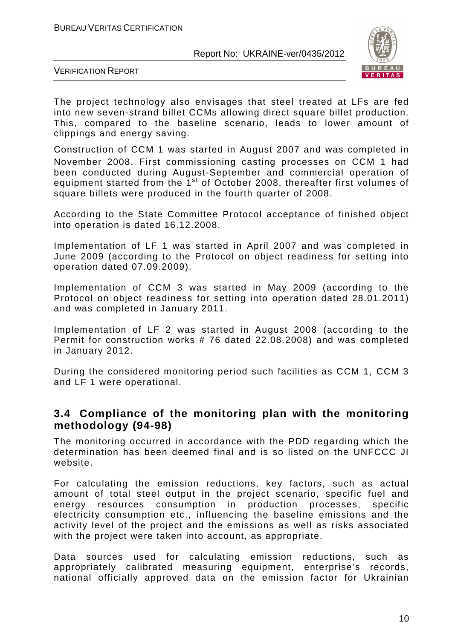

VERIFICATION REPORT

The project technology also envisages that steel treated at LFs are fed into new seven-strand billet CCMs allowing direct square billet production. This, compared to the baseline scenario, leads to lower amount of clippings and energy saving.

Construction of CCM 1 was started in August 2007 and was completed in November 2008. First commissioning casting processes on CCM 1 had been conducted during August-September and commercial operation of equipment started from the 1<sup>st</sup> of October 2008, thereafter first volumes of square billets were produced in the fourth quarter of 2008.

According to the State Committee Protocol acceptance of finished object into operation is dated 16.12.2008.

Implementation of LF 1 was started in April 2007 and was completed in June 2009 (according to the Protocol on object readiness for setting into operation dated 07.09.2009).

Implementation of CCM 3 was started in May 2009 (according to the Protocol on object readiness for setting into operation dated 28.01.2011) and was completed in January 2011.

Implementation of LF 2 was started in August 2008 (according to the Permit for construction works # 76 dated 22.08.2008) and was completed in January 2012.

During the considered monitoring period such facilities as CCM 1, CCM 3 and LF 1 were operational.

# **3.4 Compliance of the monitoring plan with the monitoring methodology (94-98)**

The monitoring occurred in accordance with the PDD regarding which the determination has been deemed final and is so listed on the UNFCCC JI website.

For calculating the emission reductions, key factors, such as actual amount of total steel output in the project scenario, specific fuel and energy resources consumption in production processes, specific electricity consumption etc., influencing the baseline emissions and the activity level of the project and the emissions as well as risks associated with the project were taken into account, as appropriate.

Data sources used for calculating emission reductions, such as appropriately calibrated measuring equipment, enterprise's records, national officially approved data on the emission factor for Ukrainian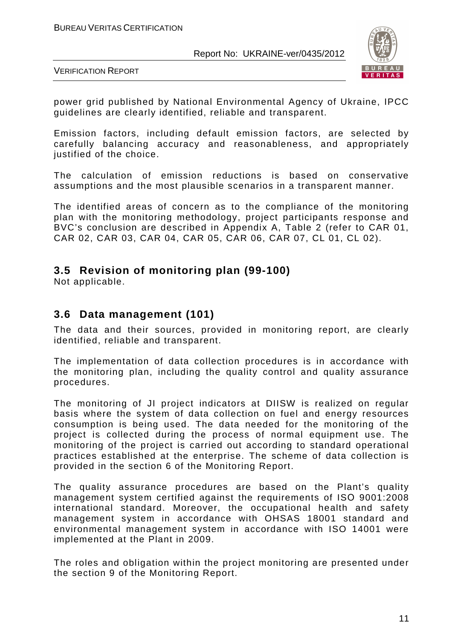

VERIFICATION REPORT

power grid published by National Environmental Agency of Ukraine, IPCC guidelines are clearly identified, reliable and transparent.

Emission factors, including default emission factors, are selected by carefully balancing accuracy and reasonableness, and appropriately justified of the choice.

The calculation of emission reductions is based on conservative assumptions and the most plausible scenarios in a transparent manner.

The identified areas of concern as to the compliance of the monitoring plan with the monitoring methodology, project participants response and BVC's conclusion are described in Appendix A, Table 2 (refer to CAR 01, CAR 02, CAR 03, CAR 04, CAR 05, CAR 06, CAR 07, CL 01, CL 02).

# **3.5 Revision of monitoring plan (99-100)**

Not applicable.

# **3.6 Data management (101)**

The data and their sources, provided in monitoring report, are clearly identified, reliable and transparent.

The implementation of data collection procedures is in accordance with the monitoring plan, including the quality control and quality assurance procedures.

The monitoring of JI project indicators at DIISW is realized on regular basis where the system of data collection on fuel and energy resources consumption is being used. The data needed for the monitoring of the project is collected during the process of normal equipment use. The monitoring of the project is carried out according to standard operational practices established at the enterprise. The scheme of data collection is provided in the section 6 of the Monitoring Report.

The quality assurance procedures are based on the Plant's quality management system certified against the requirements of ISО 9001:2008 international standard. Moreover, the occupational health and safety management system in accordance with OHSAS 18001 standard and environmental management system in accordance with ISO 14001 were implemented at the Plant in 2009.

The roles and obligation within the project monitoring are presented under the section 9 of the Monitoring Report.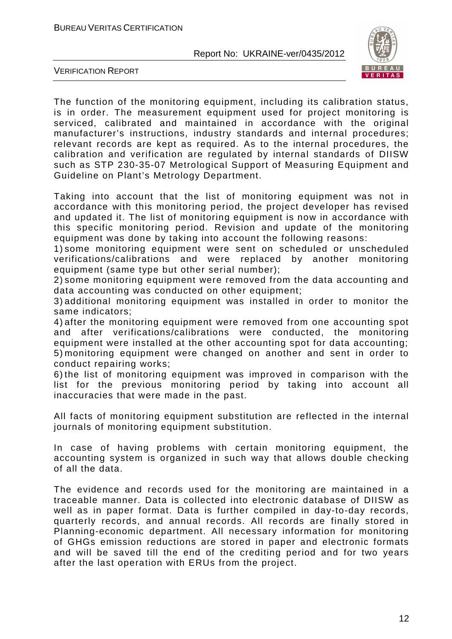

VERIFICATION REPORT

The function of the monitoring equipment, including its calibration status, is in order. The measurement equipment used for project monitoring is serviced, calibrated and maintained in accordance with the original manufacturer's instructions, industry standards and internal procedures; relevant records are kept as required. As to the internal procedures, the calibration and verification are regulated by internal standards of DIISW such as STP 230-35-07 Metrological Support of Measuring Equipment and Guideline on Plant's Metrology Department.

Taking into account that the list of monitoring equipment was not in accordance with this monitoring period, the project developer has revised and updated it. The list of monitoring equipment is now in accordance with this specific monitoring period. Revision and update of the monitoring equipment was done by taking into account the following reasons:

1) some monitoring equipment were sent on scheduled or unscheduled verifications/calibrations and were replaced by another monitoring equipment (same type but other serial number);

2) some monitoring equipment were removed from the data accounting and data accounting was conducted on other equipment;

3) additional monitoring equipment was installed in order to monitor the same indicators;

4) after the monitoring equipment were removed from one accounting spot and after verifications/calibrations were conducted, the monitoring equipment were installed at the other accounting spot for data accounting; 5) monitoring equipment were changed on another and sent in order to conduct repairing works;

6) the list of monitoring equipment was improved in comparison with the list for the previous monitoring period by taking into account all inaccuracies that were made in the past.

All facts of monitoring equipment substitution are reflected in the internal journals of monitoring equipment substitution.

In case of having problems with certain monitoring equipment, the accounting system is organized in such way that allows double checking of all the data.

The evidence and records used for the monitoring are maintained in a traceable manner. Data is collected into electronic database of DIISW as well as in paper format. Data is further compiled in day-to-day records, quarterly records, and annual records. All records are finally stored in Planning-economic department. All necessary information for monitoring of GHGs emission reductions are stored in paper and electronic formats and will be saved till the end of the crediting period and for two years after the last operation with ERUs from the project.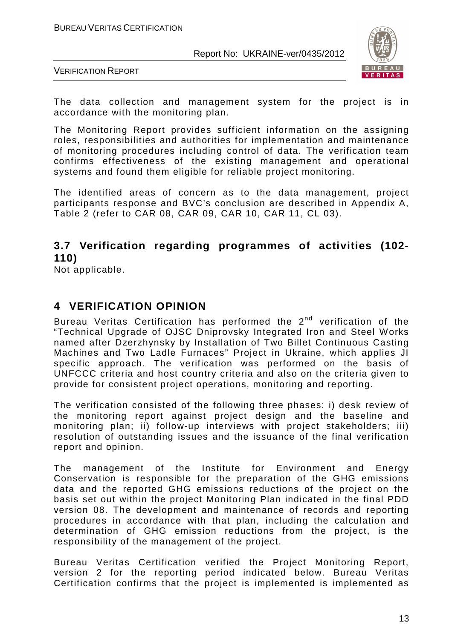

VERIFICATION REPORT

The data collection and management system for the project is in accordance with the monitoring plan.

The Monitoring Report provides sufficient information on the assigning roles, responsibilities and authorities for implementation and maintenance of monitoring procedures including control of data. The verification team confirms effectiveness of the existing management and operational systems and found them eligible for reliable project monitoring.

The identified areas of concern as to the data management, project participants response and BVC's conclusion are described in Appendix A, Table 2 (refer to CAR 08, CAR 09, CAR 10, CAR 11, CL 03).

# **3.7 Verification regarding programmes of activities (102- 110)**

Not applicable.

# **4 VERIFICATION OPINION**

Bureau Veritas Certification has performed the  $2^{nd}$  verification of the "Technical Upgrade of OJSC Dniprovsky Integrated Iron and Steel Works named after Dzerzhynsky by Installation of Two Billet Continuous Casting Machines and Two Ladle Furnaces" Project in Ukraine, which applies JI specific approach. The verification was performed on the basis of UNFCCC criteria and host country criteria and also on the criteria given to provide for consistent project operations, monitoring and reporting.

The verification consisted of the following three phases: i) desk review of the monitoring report against project design and the baseline and monitoring plan; ii) follow-up interviews with project stakeholders; iii) resolution of outstanding issues and the issuance of the final verification report and opinion.

The management of the Institute for Environment and Energy Conservation is responsible for the preparation of the GHG emissions data and the reported GHG emissions reductions of the project on the basis set out within the project Monitoring Plan indicated in the final PDD version 08. The development and maintenance of records and reporting procedures in accordance with that plan, including the calculation and determination of GHG emission reductions from the project, is the responsibility of the management of the project.

Bureau Veritas Certification verified the Project Monitoring Report, version 2 for the reporting period indicated below. Bureau Veritas Certification confirms that the project is implemented is implemented as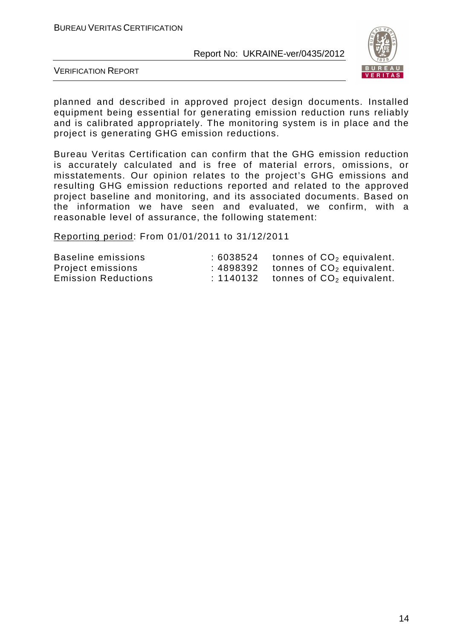

VERIFICATION REPORT

planned and described in approved project design documents. Installed equipment being essential for generating emission reduction runs reliably and is calibrated appropriately. The monitoring system is in place and the project is generating GHG emission reductions.

Bureau Veritas Certification can confirm that the GHG emission reduction is accurately calculated and is free of material errors, omissions, or misstatements. Our opinion relates to the project's GHG emissions and resulting GHG emission reductions reported and related to the approved project baseline and monitoring, and its associated documents. Based on the information we have seen and evaluated, we confirm, with a reasonable level of assurance, the following statement:

Reporting period: From 01/01/2011 to 31/12/2011

| Baseline emissions         | :6038524 | tonnes of $CO2$ equivalent. |
|----------------------------|----------|-----------------------------|
| Project emissions          | :4898392 | tonnes of $CO2$ equivalent. |
| <b>Emission Reductions</b> | :1140132 | tonnes of $CO2$ equivalent. |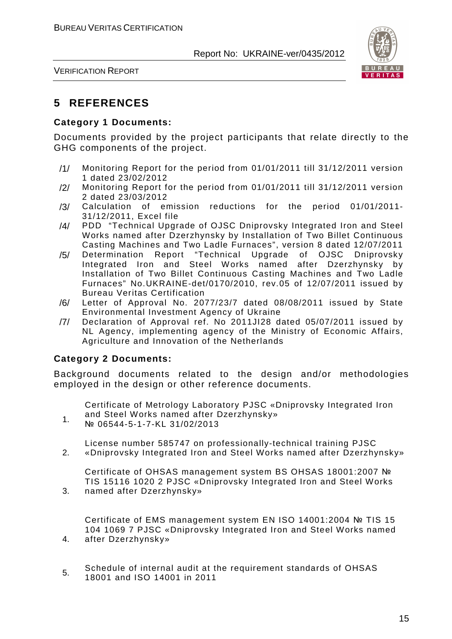

VERIFICATION REPORT

# **5 REFERENCES**

#### **Category 1 Documents:**

Documents provided by the project participants that relate directly to the GHG components of the project.

- /1/ Monitoring Report for the period from 01/01/2011 till 31/12/2011 version 1 dated 23/02/2012
- /2/ Monitoring Report for the period from 01/01/2011 till 31/12/2011 version 2 dated 23/03/2012
- /3/ Calculation of emission reductions for the period 01/01/2011- 31/12/2011, Excel file
- /4/ PDD "Technical Upgrade of OJSC Dniprovsky Integrated Iron and Steel Works named after Dzerzhynsky by Installation of Two Billet Continuous Casting Machines and Two Ladle Furnaces", version 8 dated 12/07/2011
- /5/ Determination Report "Technical Upgrade of OJSC Dniprovsky Integrated Iron and Steel Works named after Dzerzhynsky by Installation of Two Billet Continuous Casting Machines and Two Ladle Furnaces" No.UKRAINE-det/0170/2010, rev.05 of 12/07/2011 issued by Bureau Veritas Certification
- /6/ Letter of Approval No. 2077/23/7 dated 08/08/2011 issued by State Environmental Investment Agency of Ukraine
- /7/ Declaration of Approval ref. No 2011JI28 dated 05/07/2011 issued by NL Agency, implementing agency of the Ministry of Economic Affairs, Agriculture and Innovation of the Netherlands

### **Category 2 Documents:**

2.

3.

4.

Background documents related to the design and/or methodologies employed in the design or other reference documents.

Certificate of Metrology Laboratory PJSC «Dniprovsky Integrated Iron and Steel Works named after Dzerzhynsky»

1. № 06544-5-1-7-KL 31/02/2013

License number 585747 on professionally-technical training PJSC «Dniprovsky Integrated Iron and Steel Works named after Dzerzhynsky»

Certificate of OHSAS management system BS OHSAS 18001:2007 № TIS 15116 1020 2 PJSC «Dniprovsky Integrated Iron and Steel Works named after Dzerzhynsky»

Certificate of EMS management system EN ISO 14001:2004 № TIS 15 104 1069 7 PJSC «Dniprovsky Integrated Iron and Steel Works named after Dzerzhynsky»

5. Schedule of internal audit at the requirement standards of OHSAS 18001 and ISO 14001 in 2011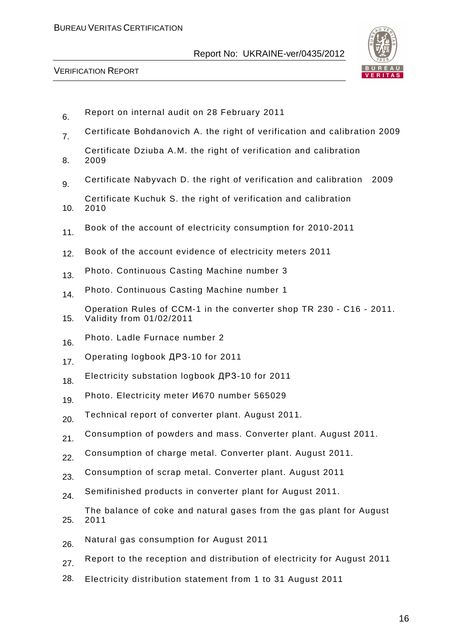#### BUREAU VERITAS CERTIFICATION

Report No: UKRAINE-ver/0435/2012



- 6. Report on internal audit on 28 February 2011
- 7. Certificate Bohdanovich A. the right of verification and calibration 2009
- 8. Certificate Dziuba A.M. the right of verification and calibration 2009
- 9. Certificate Nabyvach D. the right of verification and calibration 2009
- 10. Certificate Kuchuk S. the right of verification and calibration 2010
- 11. Book of the account of electricity consumption for 2010-2011
- 12. Book of the account evidence of electricity meters 2011
- 13. Photo. Continuous Casting Machine number 3
- 14. Photo. Continuous Casting Machine number 1
- 15. Operation Rules of CCM-1 in the converter shop TR 230 - C16 - 2011. Validity from 01/02/2011
- 16. Photo. Ladle Furnace number 2
- 17. Operating logbook ДРЗ-10 for 2011
- 18. Electricity substation logbook ДРЗ-10 for 2011
- 19. Photo. Electricity meter *V*670 number 565029
- 20. Technical report of converter plant. August 2011.
- 21. Consumption of powders and mass. Converter plant. August 2011.
- 22. Consumption of charge metal. Converter plant. August 2011.
- 23. Consumption of scrap metal. Converter plant. August 2011
- 24. Semifinished products in converter plant for August 2011.
- 25. The balance of coke and natural gases from the gas plant for August 2011
- 26. Natural gas consumption for August 2011
- 27. Report to the reception and distribution of electricity for August 2011
- 28. Electricity distribution statement from 1 to 31 August 2011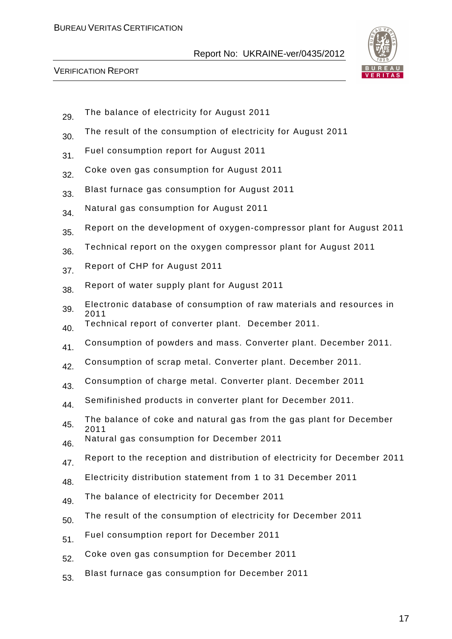

- 29. The balance of electricity for August 2011
- 30. The result of the consumption of electricity for August 2011
- 31. Fuel consumption report for August 2011
- 32. Coke oven gas consumption for August 2011
- 33. Blast furnace gas consumption for August 2011
- 34. Natural gas consumption for August 2011
- 35. Report on the development of oxygen-compressor plant for August 2011
- 36. Technical report on the oxygen compressor plant for August 2011
- 37. Report of CHP for August 2011
- 38. Report of water supply plant for August 2011
- 39. Electronic database of consumption of raw materials and resources in 2011
- 40. Technical report of converter plant. December 2011.
- 41. Consumption of powders and mass. Converter plant. December 2011.
- 42. Consumption of scrap metal. Converter plant. December 2011.
- 43. Consumption of charge metal. Converter plant. December 2011
- 44. Semifinished products in converter plant for December 2011.
- 45. The balance of coke and natural gas from the gas plant for December 2011
- 46. Natural gas consumption for December 2011
- 47. Report to the reception and distribution of electricity for December 2011
- 48. Electricity distribution statement from 1 to 31 December 2011
- 49. The balance of electricity for December 2011
- 50. The result of the consumption of electricity for December 2011
- 51. Fuel consumption report for December 2011
- 52. Coke oven gas consumption for December 2011
- 53. Blast furnace gas consumption for December 2011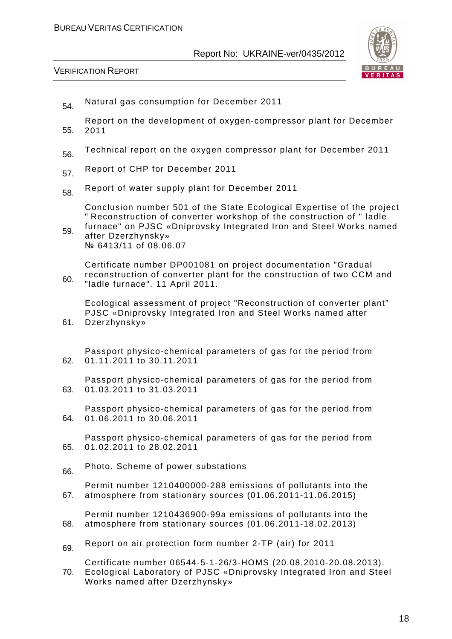

VERIFICATION REPORT

- 54. Natural gas consumption for December 2011
- 55. Report on the development of oxygen-compressor plant for December 2011
- 56. Technical report on the oxygen compressor plant for December 2011
- 57. Report of CHP for December 2011
- 58. Report of water supply plant for December 2011

Conclusion number 501 of the State Ecological Expertise of the project " Reconstruction of converter workshop of the construction of " ladle furnace" on PJSC «Dniprovsky Integrated Iron and Steel Works named

59. after Dzerzhynsky» № 6413/11 of 08.06.07

60. Certificate number DP001081 on project documentation "Gradual reconstruction of converter plant for the construction of two CCM and "ladle furnace". 11 April 2011.

Ecological assessment of project "Reconstruction of converter plant" PJSC «Dniprovsky Integrated Iron and Steel Works named after

61. Dzerzhynsky»

62. Passport physico-chemical parameters of gas for the period from 01.11.2011 to 30.11.2011

63. Passport physico-chemical parameters of gas for the period from 01.03.2011 to 31.03.2011

64. Passport physico-chemical parameters of gas for the period from 01.06.2011 to 30.06.2011

65. Passport physico-chemical parameters of gas for the period from 01.02.2011 to 28.02.2011

66 Photo. Scheme of power substations

67. Permit number 1210400000-288 emissions of pollutants into the atmosphere from stationary sources (01.06.2011-11.06.2015)

68. Permit number 1210436900-99a emissions of pollutants into the atmosphere from stationary sources (01.06.2011-18.02.2013)

69 Report on air protection form number 2-TP (air) for 2011

70. Certificate number 06544-5-1-26/3-HOMS (20.08.2010-20.08.2013). Ecological Laboratory of PJSC «Dniprovsky Integrated Iron and Steel Works named after Dzerzhynsky»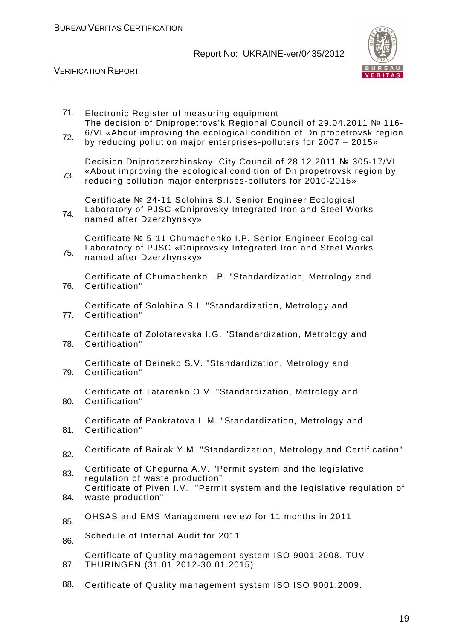

| 71.<br>72. | Electronic Register of measuring equipment<br>The decision of Dnipropetrovs'k Regional Council of 29.04.2011 № 116-<br>6/VI «About improving the ecological condition of Dnipropetrovsk region<br>by reducing pollution major enterprises-polluters for 2007 - 2015» |
|------------|----------------------------------------------------------------------------------------------------------------------------------------------------------------------------------------------------------------------------------------------------------------------|
| 73.        | Decision Dniprodzerzhinskoyi City Council of 28.12.2011 № 305-17/VI<br>«About improving the ecological condition of Dnipropetrovsk region by<br>reducing pollution major enterprises-polluters for 2010-2015»                                                        |
| 74.        | Certificate № 24-11 Solohina S.I. Senior Engineer Ecological<br>Laboratory of PJSC «Dniprovsky Integrated Iron and Steel Works<br>named after Dzerzhynsky»                                                                                                           |
| 75.        | Certificate № 5-11 Chumachenko I.P. Senior Engineer Ecological<br>Laboratory of PJSC «Dniprovsky Integrated Iron and Steel Works<br>named after Dzerzhynsky»                                                                                                         |
| 76.        | Certificate of Chumachenko I.P. "Standardization, Metrology and<br>Certification"                                                                                                                                                                                    |
| 77.        | Certificate of Solohina S.I. "Standardization, Metrology and<br>Certification"                                                                                                                                                                                       |
| 78.        | Certificate of Zolotarevska I.G. "Standardization, Metrology and<br>Certification"                                                                                                                                                                                   |
| 79.        | Certificate of Deineko S.V. "Standardization, Metrology and<br>Certification"                                                                                                                                                                                        |
| 80.        | Certificate of Tatarenko O.V. "Standardization, Metrology and<br>Certification"                                                                                                                                                                                      |
| 81.        | Certificate of Pankratova L.M. "Standardization, Metrology and<br>Certification"                                                                                                                                                                                     |
| 82.        | Certificate of Bairak Y.M. "Standardization, Metrology and Certification"                                                                                                                                                                                            |
| 83.        | Certificate of Chepurna A.V. "Permit system and the legislative<br>regulation of waste production"                                                                                                                                                                   |
| 84.        | Certificate of Piven I.V. "Permit system and the legislative regulation of<br>waste production"                                                                                                                                                                      |
| 85.        | OHSAS and EMS Management review for 11 months in 2011                                                                                                                                                                                                                |
| 86.        | Schedule of Internal Audit for 2011                                                                                                                                                                                                                                  |
| 87.        | Certificate of Quality management system ISO 9001:2008. TUV<br>THURINGEN (31.01.2012-30.01.2015)                                                                                                                                                                     |
| 88.        | Certificate of Quality management system ISO ISO 9001:2009.                                                                                                                                                                                                          |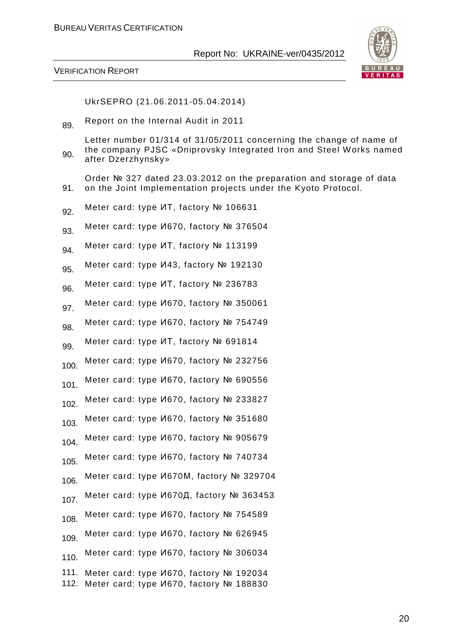

#### VERIFICATION REPORT

91.

UkrSEPRO (21.06.2011-05.04.2014)

89. Report on the Internal Audit in 2011

90. Letter number 01/314 of 31/05/2011 concerning the change of name of the company PJSC «Dniprovsky Integrated Iron and Steel Works named after Dzerzhynsky»

Order № 327 dated 23.03.2012 on the preparation and storage of data on the Joint Implementation projects under the Kyoto Protocol.

- 92. Meter card: type ИТ, factory № 106631
- 93. Meter card: type И670, factory № 376504
- 94. Meter card: type ИТ, factory № 113199
- 95. Meter card: type И43, factory № 192130
- 96. Meter card: type ИТ, factory № 236783
- 97. Meter card: type И670, factory № 350061
- 98. Meter card: type И670, factory № 754749
- 99. Meter card: type ИТ, factory № 691814
- 100. Meter card: type И670, factory № 232756
- 101. Meter card: type И670, factory № 690556
- 102 Meter card: type И670, factory № 233827
- 103. Meter card: type И670, factory № 351680
- 104. Meter card: type И670, factory № 905679
- 105. Meter card: type И670, factory № 740734
- 106. Meter card: type И670М, factory №<sup>329704</sup>
- 107. Meter card: type И670Д, factory № 363453
- 108. Meter card: type И670, factory № 754589
- 109. Meter card: type И670, factory № 626945
- 110. Meter card: type И670, factory № 306034
- 111. Meter card: type И670, factory № 192034 112. Meter card: type И670, factory № 188830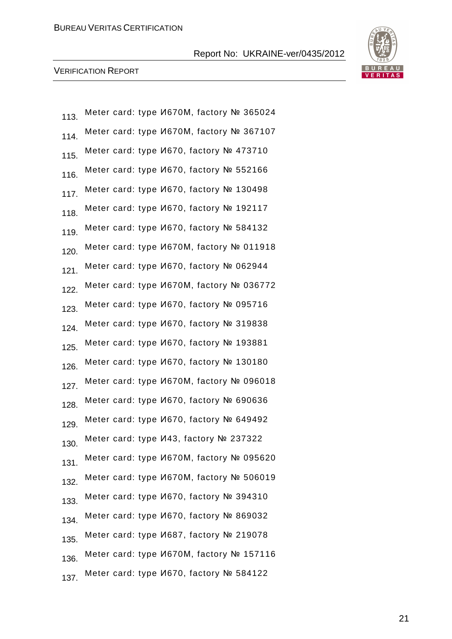

| 113. | Meter card: type <i>V</i> 670M, factory № 365024 |
|------|--------------------------------------------------|
| 114. | Meter card: type И670M, factory № 367107         |
| 115. | Meter card: type <i>V</i> 670, factory № 473710  |
| 116. | Meter card: type <i>V</i> 670, factory № 552166  |
| 117. | Meter card: type <i>V</i> 670, factory № 130498  |
| 118. | Meter card: type <i>V</i> 670, factory Nº 192117 |
| 119. | Meter card: type <i>V</i> 670, factory № 584132  |
| 120. | Meter card: type <i>V</i> 670M, factory № 011918 |
| 121. | Meter card: type <i>V</i> 670, factory № 062944  |
| 122. | Meter card: type <i>V</i> 670M, factory № 036772 |
| 123. | Meter card: type <i>V</i> 670, factory № 095716  |
| 124. | Meter card: type <i>V</i> 670, factory № 319838  |
| 125. | Meter card: type <i>V</i> 670, factory № 193881  |
| 126. | Meter card: type <i>V</i> 670, factory № 130180  |
| 127. | Meter card: type И670M, factory № 096018         |
| 128. | Meter card: type <i>V</i> 670, factory № 690636  |
| 129. | Meter card: type <i>V</i> 670, factory Nº 649492 |
| 130. | Meter card: type И43, factory № 237322           |
| 131. | Meter card: type <i>V</i> 670M, factory № 095620 |
| 132. | Meter card: type И670M, factory № 506019         |
| 133. | Meter card: type И670, factory № 394310          |
| 134. | Meter card: type <i>V</i> 670, factory № 869032  |
| 135. | Meter card: type <i>V</i> 687, factory Nº 219078 |
| 136. | Meter card: type <i>M670M</i> , factory № 157116 |
| 137. | Meter card: type И670, factory № 584122          |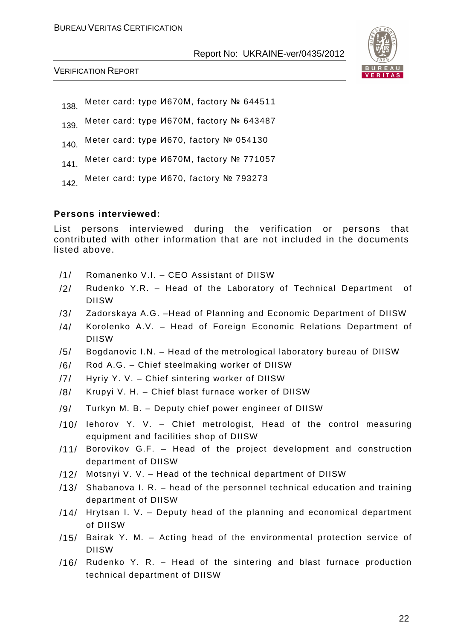

VERIFICATION REPORT

138. Meter card: type И670M, factory № 644511

139. Meter card: type И670M, factory № 643487

140. Meter card: type И670, factory № 054130

- 141. Meter card: type И670М, factory № 771057
- 142 Meter card: type И670, factory № 793273

#### **Persons interviewed:**

List persons interviewed during the verification or persons that contributed with other information that are not included in the documents listed above.

- /1/ Romanenko V.I. CEO Assistant of DIISW
- /2/ Rudenko Y.R. Head of the Laboratory of Technical Department of DIISW
- /3/ Zadorskaya A.G. –Head of Planning and Economic Department of DIISW
- /4/ Korolenko A.V. Head of Foreign Economic Relations Department of DIISW
- /5/ Bogdanovic I.N. Head of the metrological laboratory bureau of DIISW
- /6/ Rod A.G. Chief steelmaking worker of DIISW
- /7/ Hyriy Y. V. Chief sintering worker of DIISW
- /8/ Krupyi V. H. Chief blast furnace worker of DIISW
- /9/ Turkyn M. B. Deputy chief power engineer of DIISW
- /10/ Iehorov Y. V. Chief metrologist, Head of the control measuring equipment and facilities shop of DIISW
- /11/ Borovikov G.F. Head of the project development and construction department of DIISW
- /12/ Motsnyi V. V. Head of the technical department of DIISW
- /13/ Shabanova I. R. head of the personnel technical education and training department of DIISW
- /14/ Hrytsan I. V. Deputy head of the planning and economical department of DIISW
- /15/ Bairak Y. M. Acting head of the environmental protection service of DIISW
- /16/ Rudenko Y. R. Head of the sintering and blast furnace production technical department of DIISW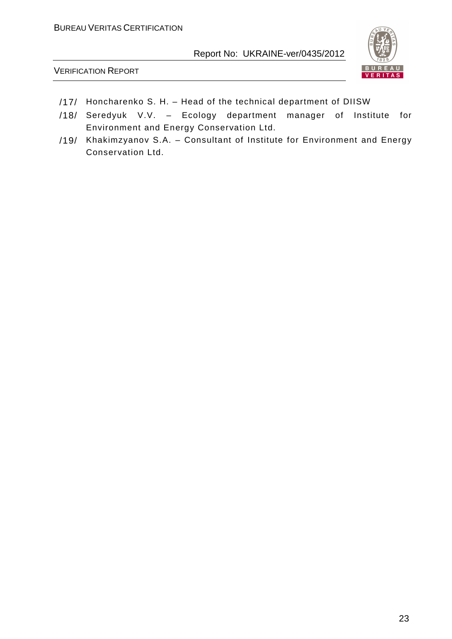



- /17/ Honcharenko S. H. Head of the technical department of DIISW
- /18/ Seredyuk V.V. Ecology department manager of Institute for Environment and Energy Conservation Ltd.
- /19/ Khakimzyanov S.A. Consultant of Institute for Environment and Energy Conservation Ltd.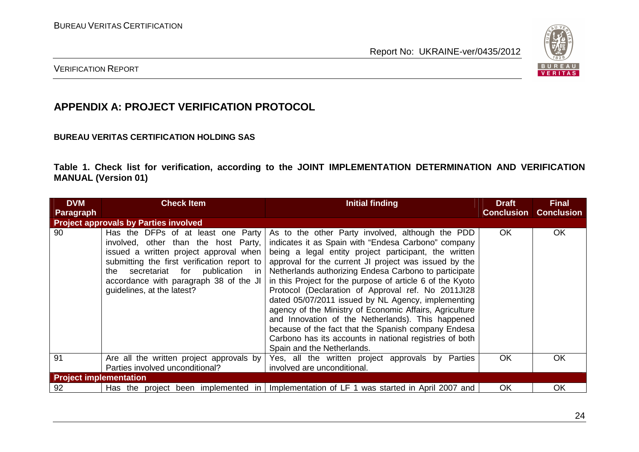

### VERIFICATION REPORT

# **APPENDIX A: PROJECT VERIFICATION PROTOCOL**

#### **BUREAU VERITAS CERTIFICATION HOLDING SAS**

**Table 1. Check list for verification, according to the JOINT IMPLEMENTATION DETERMINATION AND VERIFICATION MANUAL (Version 01)** 

| <b>DVM</b>                    | <b>Check Item</b>                                                                                                                                                                                                                                                                    | Initial finding                                                                                                                                                                                                                                                                                                                                                                                                                                                                                                                                                                                                                                                                                                             | <b>Draft</b>      | <b>Final</b>      |
|-------------------------------|--------------------------------------------------------------------------------------------------------------------------------------------------------------------------------------------------------------------------------------------------------------------------------------|-----------------------------------------------------------------------------------------------------------------------------------------------------------------------------------------------------------------------------------------------------------------------------------------------------------------------------------------------------------------------------------------------------------------------------------------------------------------------------------------------------------------------------------------------------------------------------------------------------------------------------------------------------------------------------------------------------------------------------|-------------------|-------------------|
| <b>Paragraph</b>              | <b>Project approvals by Parties involved</b>                                                                                                                                                                                                                                         |                                                                                                                                                                                                                                                                                                                                                                                                                                                                                                                                                                                                                                                                                                                             | <b>Conclusion</b> | <b>Conclusion</b> |
| 90                            | Has the DFPs of at least one Party<br>involved, other than the host Party,<br>issued a written project approval when<br>submitting the first verification report to<br>secretariat for publication in<br>the<br>accordance with paragraph 38 of the JI<br>guidelines, at the latest? | As to the other Party involved, although the PDD<br>indicates it as Spain with "Endesa Carbono" company<br>being a legal entity project participant, the written<br>approval for the current JI project was issued by the<br>Netherlands authorizing Endesa Carbono to participate<br>in this Project for the purpose of article 6 of the Kyoto<br>Protocol (Declaration of Approval ref. No 2011JI28<br>dated 05/07/2011 issued by NL Agency, implementing<br>agency of the Ministry of Economic Affairs, Agriculture<br>and Innovation of the Netherlands). This happened<br>because of the fact that the Spanish company Endesa<br>Carbono has its accounts in national registries of both<br>Spain and the Netherlands. | <b>OK</b>         | <b>OK</b>         |
| 91                            | Are all the written project approvals by<br>Parties involved unconditional?                                                                                                                                                                                                          | Yes, all the written project approvals by Parties<br>involved are unconditional.                                                                                                                                                                                                                                                                                                                                                                                                                                                                                                                                                                                                                                            | <b>OK</b>         | OK                |
| <b>Project implementation</b> |                                                                                                                                                                                                                                                                                      |                                                                                                                                                                                                                                                                                                                                                                                                                                                                                                                                                                                                                                                                                                                             |                   |                   |
| 92                            | Has the project been implemented in                                                                                                                                                                                                                                                  | Implementation of LF 1 was started in April 2007 and                                                                                                                                                                                                                                                                                                                                                                                                                                                                                                                                                                                                                                                                        | OK                | <b>OK</b>         |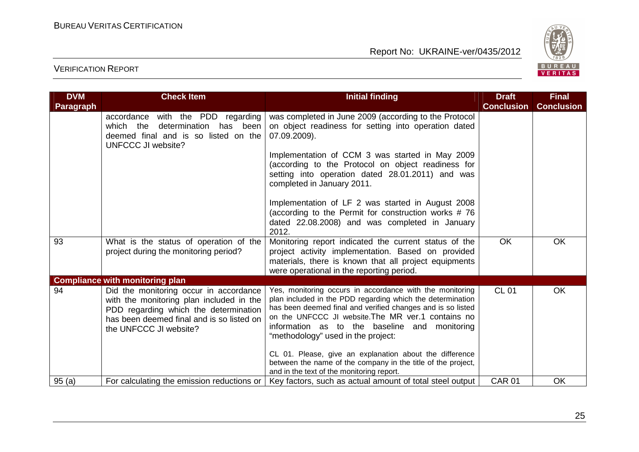

| <b>DVM</b>       | <b>Check Item</b>                                                                                                                                                                                  | <b>Initial finding</b>                                                                                                                                                                                                                                                                                                                                                                                                                                         | <b>Draft</b>      | <b>Final</b>      |
|------------------|----------------------------------------------------------------------------------------------------------------------------------------------------------------------------------------------------|----------------------------------------------------------------------------------------------------------------------------------------------------------------------------------------------------------------------------------------------------------------------------------------------------------------------------------------------------------------------------------------------------------------------------------------------------------------|-------------------|-------------------|
| <b>Paragraph</b> |                                                                                                                                                                                                    |                                                                                                                                                                                                                                                                                                                                                                                                                                                                | <b>Conclusion</b> | <b>Conclusion</b> |
|                  | with the PDD regarding<br>accordance<br>which the<br>determination<br>has been<br>deemed final and is so listed on the<br><b>UNFCCC JI website?</b>                                                | was completed in June 2009 (according to the Protocol<br>on object readiness for setting into operation dated<br>07.09.2009).                                                                                                                                                                                                                                                                                                                                  |                   |                   |
|                  |                                                                                                                                                                                                    | Implementation of CCM 3 was started in May 2009<br>(according to the Protocol on object readiness for<br>setting into operation dated 28.01.2011) and was<br>completed in January 2011.                                                                                                                                                                                                                                                                        |                   |                   |
|                  |                                                                                                                                                                                                    | Implementation of LF 2 was started in August 2008<br>(according to the Permit for construction works #76<br>dated 22.08.2008) and was completed in January<br>2012.                                                                                                                                                                                                                                                                                            |                   |                   |
| 93               | What is the status of operation of the<br>project during the monitoring period?                                                                                                                    | Monitoring report indicated the current status of the<br>project activity implementation. Based on provided<br>materials, there is known that all project equipments<br>were operational in the reporting period.                                                                                                                                                                                                                                              | OK                | OK                |
|                  | <b>Compliance with monitoring plan</b>                                                                                                                                                             |                                                                                                                                                                                                                                                                                                                                                                                                                                                                |                   |                   |
| 94               | Did the monitoring occur in accordance<br>with the monitoring plan included in the<br>PDD regarding which the determination<br>has been deemed final and is so listed on<br>the UNFCCC JI website? | Yes, monitoring occurs in accordance with the monitoring<br>plan included in the PDD regarding which the determination<br>has been deemed final and verified changes and is so listed<br>on the UNFCCC JI website. The MR ver. 1 contains no<br>information as to the baseline and monitoring<br>"methodology" used in the project:<br>CL 01. Please, give an explanation about the difference<br>between the name of the company in the title of the project, | <b>CL 01</b>      | OK                |
|                  | For calculating the emission reductions or                                                                                                                                                         | and in the text of the monitoring report.                                                                                                                                                                                                                                                                                                                                                                                                                      | <b>CAR 01</b>     | <b>OK</b>         |
| 95(a)            |                                                                                                                                                                                                    | Key factors, such as actual amount of total steel output                                                                                                                                                                                                                                                                                                                                                                                                       |                   |                   |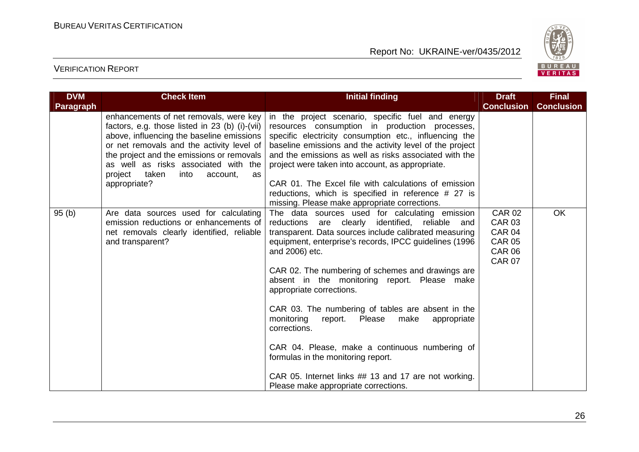

| <b>DVM</b>       | <b>Check Item</b>                                                                                                                                                                                                                                                                                                                     | <b>Initial finding</b>                                                                                                                                                                                                                                                                                                                                                                                                                                                                                                                                                                                                                                                                             | <b>Draft</b>                                                                                       | <b>Final</b>      |
|------------------|---------------------------------------------------------------------------------------------------------------------------------------------------------------------------------------------------------------------------------------------------------------------------------------------------------------------------------------|----------------------------------------------------------------------------------------------------------------------------------------------------------------------------------------------------------------------------------------------------------------------------------------------------------------------------------------------------------------------------------------------------------------------------------------------------------------------------------------------------------------------------------------------------------------------------------------------------------------------------------------------------------------------------------------------------|----------------------------------------------------------------------------------------------------|-------------------|
| <b>Paragraph</b> |                                                                                                                                                                                                                                                                                                                                       |                                                                                                                                                                                                                                                                                                                                                                                                                                                                                                                                                                                                                                                                                                    | <b>Conclusion</b>                                                                                  | <b>Conclusion</b> |
|                  | enhancements of net removals, were key<br>factors, e.g. those listed in 23 (b) (i)-(vii)<br>above, influencing the baseline emissions<br>or net removals and the activity level of<br>the project and the emissions or removals<br>as well as risks associated with the<br>project<br>taken<br>into<br>account,<br>as<br>appropriate? | in the project scenario, specific fuel and energy<br>resources consumption in production processes,<br>specific electricity consumption etc., influencing the<br>baseline emissions and the activity level of the project<br>and the emissions as well as risks associated with the<br>project were taken into account, as appropriate.<br>CAR 01. The Excel file with calculations of emission<br>reductions, which is specified in reference # 27 is<br>missing. Please make appropriate corrections.                                                                                                                                                                                            |                                                                                                    |                   |
| 95(b)            | Are data sources used for calculating<br>emission reductions or enhancements of<br>net removals clearly identified, reliable<br>and transparent?                                                                                                                                                                                      | The data sources used for calculating emission<br>reductions are clearly identified, reliable<br>and<br>transparent. Data sources include calibrated measuring<br>equipment, enterprise's records, IPCC guidelines (1996<br>and 2006) etc.<br>CAR 02. The numbering of schemes and drawings are<br>absent in the monitoring report. Please make<br>appropriate corrections.<br>CAR 03. The numbering of tables are absent in the<br>monitoring<br>Please<br>make<br>report.<br>appropriate<br>corrections.<br>CAR 04. Please, make a continuous numbering of<br>formulas in the monitoring report.<br>CAR 05. Internet links ## 13 and 17 are not working.<br>Please make appropriate corrections. | <b>CAR 02</b><br><b>CAR 03</b><br><b>CAR 04</b><br><b>CAR 05</b><br><b>CAR 06</b><br><b>CAR 07</b> | <b>OK</b>         |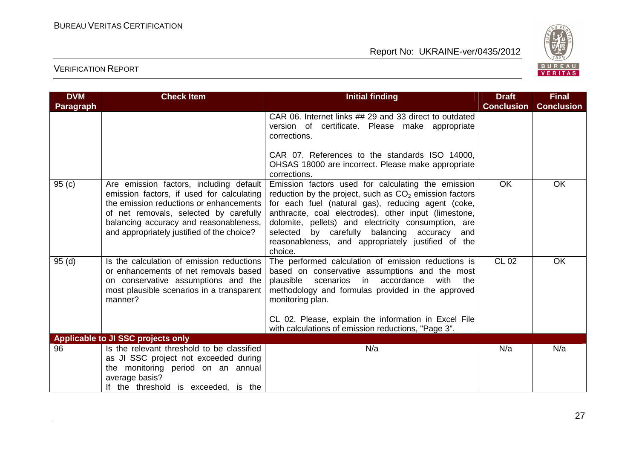

| <b>DVM</b>        | <b>Check Item</b>                                                                                                                                                                                                                                                 | <b>Initial finding</b>                                                                                                                                                                                                                                                                                                                                                                                   | <b>Draft</b>      | <b>Final</b>      |
|-------------------|-------------------------------------------------------------------------------------------------------------------------------------------------------------------------------------------------------------------------------------------------------------------|----------------------------------------------------------------------------------------------------------------------------------------------------------------------------------------------------------------------------------------------------------------------------------------------------------------------------------------------------------------------------------------------------------|-------------------|-------------------|
| Paragraph         |                                                                                                                                                                                                                                                                   |                                                                                                                                                                                                                                                                                                                                                                                                          | <b>Conclusion</b> | <b>Conclusion</b> |
|                   |                                                                                                                                                                                                                                                                   | CAR 06. Internet links ## 29 and 33 direct to outdated<br>version of certificate. Please make appropriate<br>corrections.                                                                                                                                                                                                                                                                                |                   |                   |
|                   |                                                                                                                                                                                                                                                                   | CAR 07. References to the standards ISO 14000,<br>OHSAS 18000 are incorrect. Please make appropriate<br>corrections.                                                                                                                                                                                                                                                                                     |                   |                   |
| 95 <sub>(c)</sub> | Are emission factors, including default<br>emission factors, if used for calculating<br>the emission reductions or enhancements<br>of net removals, selected by carefully<br>balancing accuracy and reasonableness,<br>and appropriately justified of the choice? | Emission factors used for calculating the emission<br>reduction by the project, such as $CO2$ emission factors<br>for each fuel (natural gas), reducing agent (coke,<br>anthracite, coal electrodes), other input (limestone,<br>dolomite, pellets) and electricity consumption, are<br>selected by carefully balancing accuracy<br>and<br>reasonableness, and appropriately justified of the<br>choice. | <b>OK</b>         | OK                |
| 95(d)             | Is the calculation of emission reductions<br>or enhancements of net removals based<br>on conservative assumptions and the<br>most plausible scenarios in a transparent<br>manner?                                                                                 | The performed calculation of emission reductions is<br>based on conservative assumptions and the most<br>plausible scenarios in accordance<br>with<br>the<br>methodology and formulas provided in the approved<br>monitoring plan.<br>CL 02. Please, explain the information in Excel File<br>with calculations of emission reductions, "Page 3".                                                        | <b>CL 02</b>      | OK                |
| 96                | Applicable to JI SSC projects only<br>Is the relevant threshold to be classified                                                                                                                                                                                  | N/a                                                                                                                                                                                                                                                                                                                                                                                                      | N/a               | N/a               |
|                   | as JI SSC project not exceeded during<br>the monitoring period on an annual<br>average basis?<br>If the threshold is exceeded, is the                                                                                                                             |                                                                                                                                                                                                                                                                                                                                                                                                          |                   |                   |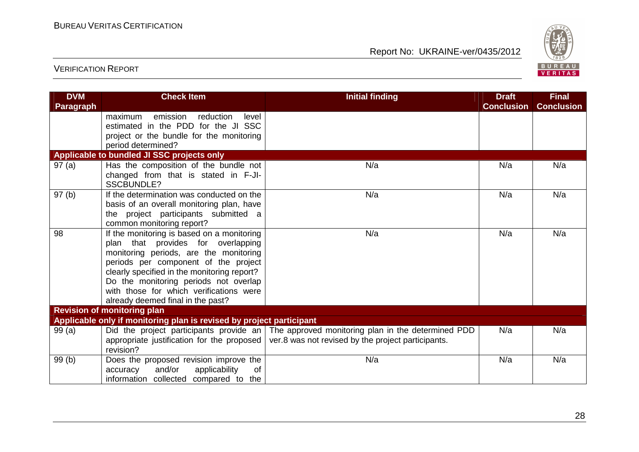

| <b>DVM</b>       | <b>Check Item</b>                                                                   | <b>Initial finding</b>                                                                       | <b>Draft</b>      | <b>Final</b>      |
|------------------|-------------------------------------------------------------------------------------|----------------------------------------------------------------------------------------------|-------------------|-------------------|
| <b>Paragraph</b> |                                                                                     |                                                                                              | <b>Conclusion</b> | <b>Conclusion</b> |
|                  | emission<br>maximum<br>reduction<br>level                                           |                                                                                              |                   |                   |
|                  | estimated in the PDD for the JI SSC                                                 |                                                                                              |                   |                   |
|                  | project or the bundle for the monitoring                                            |                                                                                              |                   |                   |
|                  | period determined?                                                                  |                                                                                              |                   |                   |
|                  | Applicable to bundled JI SSC projects only                                          |                                                                                              |                   |                   |
| 97(a)            | Has the composition of the bundle not<br>changed from that is stated in F-JI-       | N/a                                                                                          | N/a               | N/a               |
|                  | <b>SSCBUNDLE?</b>                                                                   |                                                                                              |                   |                   |
| 97(b)            | If the determination was conducted on the                                           | N/a                                                                                          | N/a               | N/a               |
|                  | basis of an overall monitoring plan, have                                           |                                                                                              |                   |                   |
|                  | the project participants submitted a                                                |                                                                                              |                   |                   |
|                  | common monitoring report?                                                           |                                                                                              |                   |                   |
| 98               | If the monitoring is based on a monitoring                                          | N/a                                                                                          | N/a               | N/a               |
|                  | plan that provides for overlapping                                                  |                                                                                              |                   |                   |
|                  | monitoring periods, are the monitoring                                              |                                                                                              |                   |                   |
|                  | periods per component of the project                                                |                                                                                              |                   |                   |
|                  | clearly specified in the monitoring report?                                         |                                                                                              |                   |                   |
|                  | Do the monitoring periods not overlap                                               |                                                                                              |                   |                   |
|                  | with those for which verifications were                                             |                                                                                              |                   |                   |
|                  | already deemed final in the past?                                                   |                                                                                              |                   |                   |
|                  | <b>Revision of monitoring plan</b>                                                  |                                                                                              |                   |                   |
|                  | Applicable only if monitoring plan is revised by project participant                |                                                                                              |                   |                   |
| 99(a)            |                                                                                     | Did the project participants provide an   The approved monitoring plan in the determined PDD | N/a               | N/a               |
|                  | appropriate justification for the proposed<br>revision?                             | ver.8 was not revised by the project participants.                                           |                   |                   |
|                  |                                                                                     |                                                                                              |                   |                   |
| 99(b)            | Does the proposed revision improve the<br>and/or<br>applicability<br>0f<br>accuracy | N/a                                                                                          | N/a               | N/a               |
|                  | information collected compared to the                                               |                                                                                              |                   |                   |
|                  |                                                                                     |                                                                                              |                   |                   |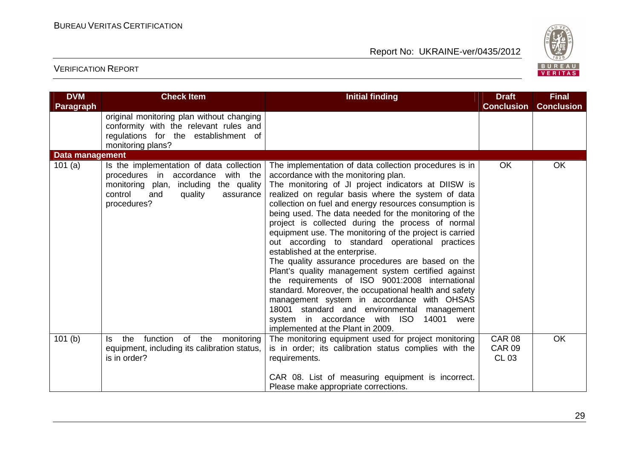

| <b>DVM</b><br>Paragraph | <b>Check Item</b>                                                                                                                                                                      | <b>Initial finding</b>                                                                                                                                                                                                                                                                                                                                                                                                                                                                                                                                                                                                                                                                                                                                                                                                                                                                                                                        | <b>Draft</b><br><b>Conclusion</b>              | <b>Final</b><br><b>Conclusion</b> |
|-------------------------|----------------------------------------------------------------------------------------------------------------------------------------------------------------------------------------|-----------------------------------------------------------------------------------------------------------------------------------------------------------------------------------------------------------------------------------------------------------------------------------------------------------------------------------------------------------------------------------------------------------------------------------------------------------------------------------------------------------------------------------------------------------------------------------------------------------------------------------------------------------------------------------------------------------------------------------------------------------------------------------------------------------------------------------------------------------------------------------------------------------------------------------------------|------------------------------------------------|-----------------------------------|
|                         | original monitoring plan without changing<br>conformity with the relevant rules and<br>regulations for the establishment of<br>monitoring plans?                                       |                                                                                                                                                                                                                                                                                                                                                                                                                                                                                                                                                                                                                                                                                                                                                                                                                                                                                                                                               |                                                |                                   |
| Data management         |                                                                                                                                                                                        |                                                                                                                                                                                                                                                                                                                                                                                                                                                                                                                                                                                                                                                                                                                                                                                                                                                                                                                                               |                                                |                                   |
| 101(a)                  | Is the implementation of data collection<br>procedures in accordance<br>with the<br>including the quality<br>monitoring plan,<br>control<br>quality<br>and<br>assurance<br>procedures? | The implementation of data collection procedures is in<br>accordance with the monitoring plan.<br>The monitoring of JI project indicators at DIISW is<br>realized on regular basis where the system of data<br>collection on fuel and energy resources consumption is<br>being used. The data needed for the monitoring of the<br>project is collected during the process of normal<br>equipment use. The monitoring of the project is carried<br>out according to standard operational practices<br>established at the enterprise.<br>The quality assurance procedures are based on the<br>Plant's quality management system certified against<br>the requirements of ISO 9001:2008 international<br>standard. Moreover, the occupational health and safety<br>management system in accordance with OHSAS<br>18001 standard and environmental management<br>system in accordance with ISO<br>14001 were<br>implemented at the Plant in 2009. | <b>OK</b>                                      | <b>OK</b>                         |
| 101(b)                  | function of the<br>the<br>monitoring<br>Is.<br>equipment, including its calibration status,<br>is in order?                                                                            | The monitoring equipment used for project monitoring<br>is in order; its calibration status complies with the<br>requirements.<br>CAR 08. List of measuring equipment is incorrect.<br>Please make appropriate corrections.                                                                                                                                                                                                                                                                                                                                                                                                                                                                                                                                                                                                                                                                                                                   | <b>CAR 08</b><br><b>CAR 09</b><br><b>CL 03</b> | <b>OK</b>                         |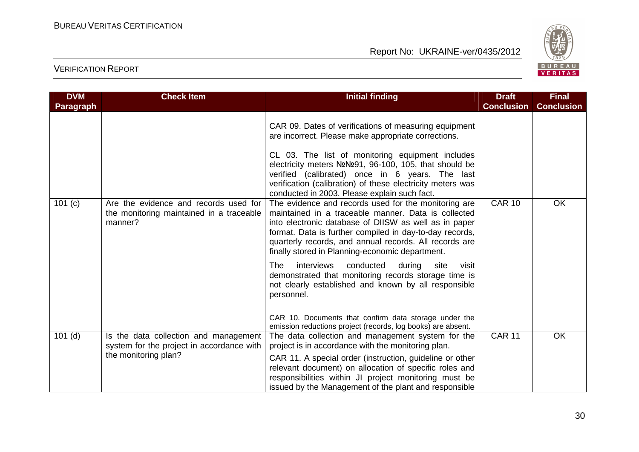

| <b>DVM</b>       | <b>Check Item</b>                                                                            | <b>Initial finding</b>                                                                                                                                                                                                                                                                                                                                                                      | <b>Draft</b>      | <b>Final</b>      |
|------------------|----------------------------------------------------------------------------------------------|---------------------------------------------------------------------------------------------------------------------------------------------------------------------------------------------------------------------------------------------------------------------------------------------------------------------------------------------------------------------------------------------|-------------------|-------------------|
| <b>Paragraph</b> |                                                                                              |                                                                                                                                                                                                                                                                                                                                                                                             | <b>Conclusion</b> | <b>Conclusion</b> |
|                  |                                                                                              | CAR 09. Dates of verifications of measuring equipment<br>are incorrect. Please make appropriate corrections.<br>CL 03. The list of monitoring equipment includes<br>electricity meters NºNº91, 96-100, 105, that should be<br>verified (calibrated) once in 6 years. The last<br>verification (calibration) of these electricity meters was<br>conducted in 2003. Please explain such fact. |                   |                   |
| 101(c)           | Are the evidence and records used for<br>the monitoring maintained in a traceable<br>manner? | The evidence and records used for the monitoring are<br>maintained in a traceable manner. Data is collected<br>into electronic database of DIISW as well as in paper<br>format. Data is further compiled in day-to-day records,<br>quarterly records, and annual records. All records are<br>finally stored in Planning-economic department.                                                | <b>CAR 10</b>     | <b>OK</b>         |
|                  |                                                                                              | The<br>interviews<br>conducted<br>during<br>site<br>visit<br>demonstrated that monitoring records storage time is<br>not clearly established and known by all responsible<br>personnel.                                                                                                                                                                                                     |                   |                   |
|                  |                                                                                              | CAR 10. Documents that confirm data storage under the<br>emission reductions project (records, log books) are absent.                                                                                                                                                                                                                                                                       |                   |                   |
| $101$ (d)        | Is the data collection and management<br>system for the project in accordance with           | The data collection and management system for the<br>project is in accordance with the monitoring plan.                                                                                                                                                                                                                                                                                     | <b>CAR 11</b>     | <b>OK</b>         |
|                  | the monitoring plan?                                                                         | CAR 11. A special order (instruction, guideline or other<br>relevant document) on allocation of specific roles and<br>responsibilities within JI project monitoring must be<br>issued by the Management of the plant and responsible                                                                                                                                                        |                   |                   |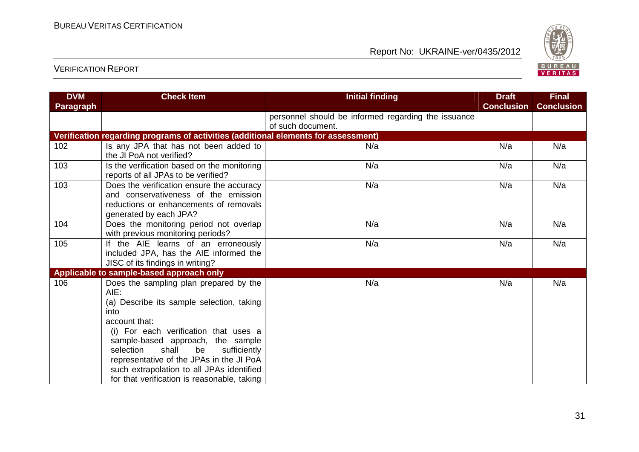

| <b>DVM</b>       | <b>Check Item</b>                                                                                                                                                                                                                                                                                                                                                                      | <b>Initial finding</b>                                                   | <b>Draft</b>      | <b>Final</b>      |
|------------------|----------------------------------------------------------------------------------------------------------------------------------------------------------------------------------------------------------------------------------------------------------------------------------------------------------------------------------------------------------------------------------------|--------------------------------------------------------------------------|-------------------|-------------------|
| <b>Paragraph</b> |                                                                                                                                                                                                                                                                                                                                                                                        |                                                                          | <b>Conclusion</b> | <b>Conclusion</b> |
|                  |                                                                                                                                                                                                                                                                                                                                                                                        | personnel should be informed regarding the issuance<br>of such document. |                   |                   |
|                  | Verification regarding programs of activities (additional elements for assessment)                                                                                                                                                                                                                                                                                                     |                                                                          |                   |                   |
| 102              | Is any JPA that has not been added to<br>the JI PoA not verified?                                                                                                                                                                                                                                                                                                                      | N/a                                                                      | N/a               | N/a               |
| 103              | Is the verification based on the monitoring<br>reports of all JPAs to be verified?                                                                                                                                                                                                                                                                                                     | N/a                                                                      | N/a               | N/a               |
| 103              | Does the verification ensure the accuracy<br>and conservativeness of the emission<br>reductions or enhancements of removals<br>generated by each JPA?                                                                                                                                                                                                                                  | N/a                                                                      | N/a               | N/a               |
| 104              | Does the monitoring period not overlap<br>with previous monitoring periods?                                                                                                                                                                                                                                                                                                            | N/a                                                                      | N/a               | N/a               |
| 105              | If the AIE learns of an erroneously<br>included JPA, has the AIE informed the<br>JISC of its findings in writing?                                                                                                                                                                                                                                                                      | N/a                                                                      | N/a               | N/a               |
|                  | Applicable to sample-based approach only                                                                                                                                                                                                                                                                                                                                               |                                                                          |                   |                   |
| 106              | Does the sampling plan prepared by the<br>AIE:<br>(a) Describe its sample selection, taking<br>into<br>account that:<br>(i) For each verification that uses a<br>sample-based approach, the sample<br>shall<br>selection<br>be<br>sufficiently<br>representative of the JPAs in the JI PoA<br>such extrapolation to all JPAs identified<br>for that verification is reasonable, taking | N/a                                                                      | N/a               | N/a               |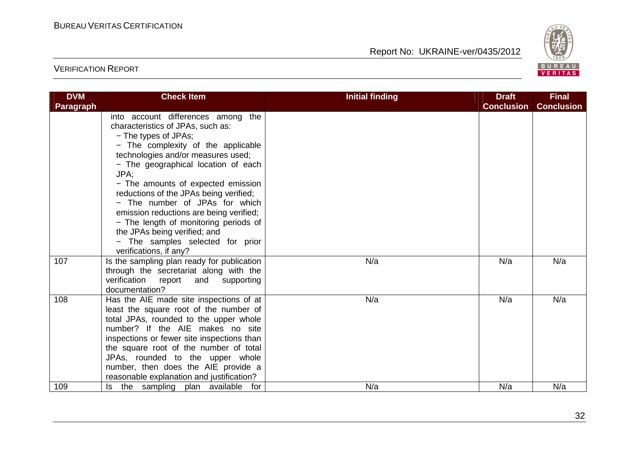

| <b>DVM</b>       | <b>Check Item</b>                          | <b>Initial finding</b> | <b>Draft</b>      | <b>Final</b>      |
|------------------|--------------------------------------------|------------------------|-------------------|-------------------|
| <b>Paragraph</b> |                                            |                        | <b>Conclusion</b> | <b>Conclusion</b> |
|                  | into account differences among the         |                        |                   |                   |
|                  | characteristics of JPAs, such as:          |                        |                   |                   |
|                  | - The types of JPAs;                       |                        |                   |                   |
|                  | - The complexity of the applicable         |                        |                   |                   |
|                  | technologies and/or measures used;         |                        |                   |                   |
|                  | - The geographical location of each        |                        |                   |                   |
|                  | JPA:                                       |                        |                   |                   |
|                  | - The amounts of expected emission         |                        |                   |                   |
|                  | reductions of the JPAs being verified;     |                        |                   |                   |
|                  | - The number of JPAs for which             |                        |                   |                   |
|                  | emission reductions are being verified;    |                        |                   |                   |
|                  | - The length of monitoring periods of      |                        |                   |                   |
|                  | the JPAs being verified; and               |                        |                   |                   |
|                  | - The samples selected for prior           |                        |                   |                   |
|                  | verifications, if any?                     |                        |                   |                   |
| 107              | Is the sampling plan ready for publication | N/a                    | N/a               | N/a               |
|                  | through the secretariat along with the     |                        |                   |                   |
|                  | verification report<br>and supporting      |                        |                   |                   |
|                  | documentation?                             |                        |                   |                   |
| 108              | Has the AIE made site inspections of at    | N/a                    | N/a               | N/a               |
|                  | least the square root of the number of     |                        |                   |                   |
|                  | total JPAs, rounded to the upper whole     |                        |                   |                   |
|                  | number? If the AIE makes no site           |                        |                   |                   |
|                  | inspections or fewer site inspections than |                        |                   |                   |
|                  | the square root of the number of total     |                        |                   |                   |
|                  | JPAs, rounded to the upper whole           |                        |                   |                   |
|                  | number, then does the AIE provide a        |                        |                   |                   |
|                  | reasonable explanation and justification?  |                        |                   |                   |
| 109              | Is the sampling plan available for         | N/a                    | N/a               | N/a               |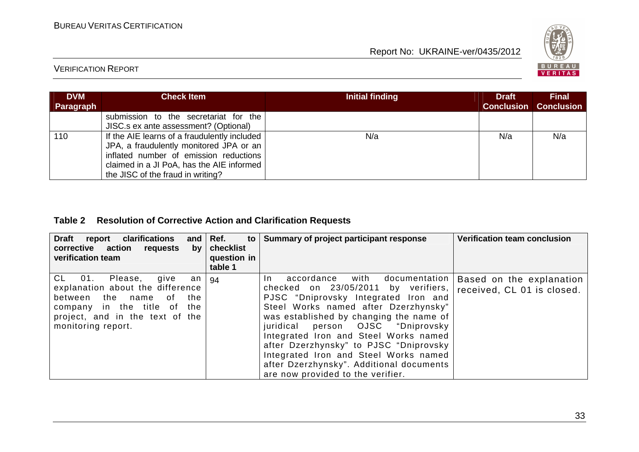

# VERIFICATION REPORT

| <b>DVM</b><br>Paragraph | <b>Check Item</b>                                                                                                                                                                                                   | Initial finding | <b>Draft</b> | <b>Final</b><br><b>Conclusion Conclusion</b> |
|-------------------------|---------------------------------------------------------------------------------------------------------------------------------------------------------------------------------------------------------------------|-----------------|--------------|----------------------------------------------|
|                         | submission to the secretariat for the<br>JISC.s ex ante assessment? (Optional)                                                                                                                                      |                 |              |                                              |
| 110                     | If the AIE learns of a fraudulently included<br>JPA, a fraudulently monitored JPA or an<br>inflated number of emission reductions<br>claimed in a JI PoA, has the AIE informed<br>the JISC of the fraud in writing? | N/a             | N/a          | N/a                                          |

# **Table 2 Resolution of Corrective Action and Clarification Requests**

| <b>Draft</b><br>clarifications<br>report<br>and<br>corrective action<br>requests<br>by<br>verification team                                                                                     | Ref.<br>to<br>checklist<br>question in<br>table 1 | Summary of project participant response                                                                                                                                                                                                                                                                                                                                                                                                                          | <b>Verification team conclusion</b>                    |
|-------------------------------------------------------------------------------------------------------------------------------------------------------------------------------------------------|---------------------------------------------------|------------------------------------------------------------------------------------------------------------------------------------------------------------------------------------------------------------------------------------------------------------------------------------------------------------------------------------------------------------------------------------------------------------------------------------------------------------------|--------------------------------------------------------|
| CL 01.<br>Please,<br>give<br>an<br>explanation about the difference<br>between the name<br>the<br>of<br>company in the title of<br>the<br>project, and in the text of the<br>monitoring report. | 94                                                | with<br>accordance<br>documentation<br>In In<br>checked on 23/05/2011 by verifiers,<br>PJSC "Dniprovsky Integrated Iron and<br>Steel Works named after Dzerzhynsky"<br>was established by changing the name of<br>juridical person OJSC "Dniprovsky<br>Integrated Iron and Steel Works named<br>after Dzerzhynsky" to PJSC "Dniprovsky<br>Integrated Iron and Steel Works named<br>after Dzerzhynsky". Additional documents<br>are now provided to the verifier. | Based on the explanation<br>received, CL 01 is closed. |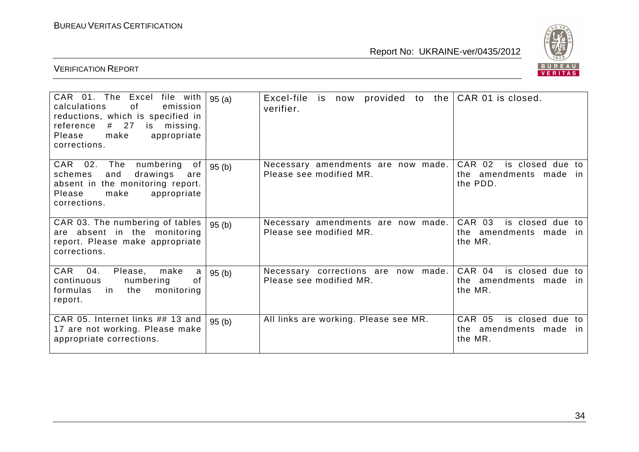

| CAR 01. The<br>Excel<br>file with<br>calculations<br>of<br>emission<br>reductions, which is specified in<br># 27<br>missing.<br>reference<br>is<br>make<br>Please<br>appropriate<br>corrections. | 95(a) | Excel-file<br>provided to the<br>is now<br>verifier.           | CAR 01 is closed.                                                        |
|--------------------------------------------------------------------------------------------------------------------------------------------------------------------------------------------------|-------|----------------------------------------------------------------|--------------------------------------------------------------------------|
| numbering<br>CAR<br>02.<br>The<br>of<br>and<br>schemes<br>drawings<br>are<br>absent in the monitoring report.<br>appropriate<br>Please<br>make<br>corrections.                                   | 95(b) | Necessary amendments are now made.<br>Please see modified MR.  | CAR 02<br>is closed due to<br>the amendments made<br>in.<br>the PDD.     |
| CAR 03. The numbering of tables<br>are absent in the monitoring<br>report. Please make appropriate<br>corrections.                                                                               | 95(b) | Necessary amendments are now made.<br>Please see modified MR.  | CAR 03<br>is closed due to<br>the amendments made in<br>the MR.          |
| CAR<br>04.<br>make<br>Please,<br>a<br>of<br>continuous<br>numbering<br>formulas<br>the<br>monitoring<br>in.<br>report.                                                                           | 95(b) | Necessary corrections are now made.<br>Please see modified MR. | CAR 04<br>is closed due to<br>the amendments made<br>in.<br>the MR.      |
| CAR 05. Internet links ## 13 and<br>17 are not working. Please make<br>appropriate corrections.                                                                                                  | 95(b) | All links are working. Please see MR.                          | CAR 05<br>is closed due to<br>amendments made<br>the t<br>in.<br>the MR. |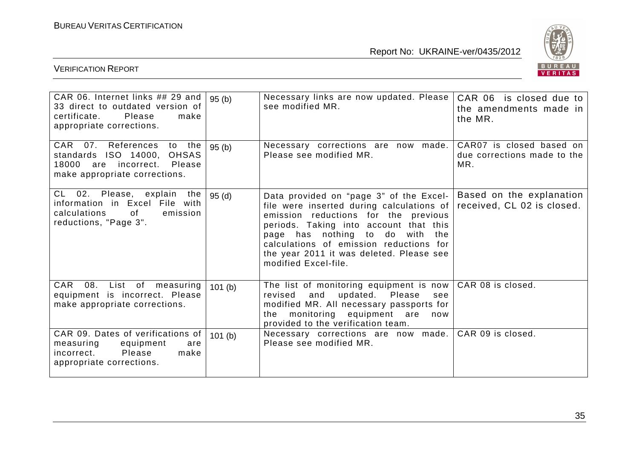

| CAR 06. Internet links $\#$ 29 and   95 (b)<br>33 direct to outdated version of<br>certificate. Please<br>make<br>appropriate corrections. |        | Necessary links are now updated. Please<br>see modified MR.                                                                                                                                                                                                                                                              | CAR 06 is closed due to<br>the amendments made in<br>the MR.   |
|--------------------------------------------------------------------------------------------------------------------------------------------|--------|--------------------------------------------------------------------------------------------------------------------------------------------------------------------------------------------------------------------------------------------------------------------------------------------------------------------------|----------------------------------------------------------------|
| CAR 07. References<br>to the<br>standards ISO 14000, OHSAS<br>18000 are incorrect. Please<br>make appropriate corrections.                 | 95(b)  | Necessary corrections are now made.<br>Please see modified MR.                                                                                                                                                                                                                                                           | CAR07 is closed based on<br>due corrections made to the<br>MR. |
| CL 02. Please, explain the<br>information in Excel File with<br>of<br>calculations<br>emission<br>reductions, "Page 3".                    | 95(d)  | Data provided on "page 3" of the Excel-<br>file were inserted during calculations of<br>emission reductions for the previous<br>periods. Taking into account that this<br>page has nothing to do with the<br>calculations of emission reductions for<br>the year 2011 it was deleted. Please see<br>modified Excel-file. | Based on the explanation<br>received, CL 02 is closed.         |
| CAR<br>08.<br>List of measuring<br>equipment is incorrect. Please<br>make appropriate corrections.                                         | 101(b) | The list of monitoring equipment is now<br>updated. Please<br>and<br>revised<br>see<br>modified MR. All necessary passports for<br>monitoring equipment are<br>the<br>now<br>provided to the verification team.                                                                                                          | CAR 08 is closed.                                              |
| CAR 09. Dates of verifications of<br>measuring<br>equipment<br>are<br>Please<br>incorrect.<br>make<br>appropriate corrections.             | 101(b) | Necessary corrections are now made.<br>Please see modified MR.                                                                                                                                                                                                                                                           | CAR 09 is closed.                                              |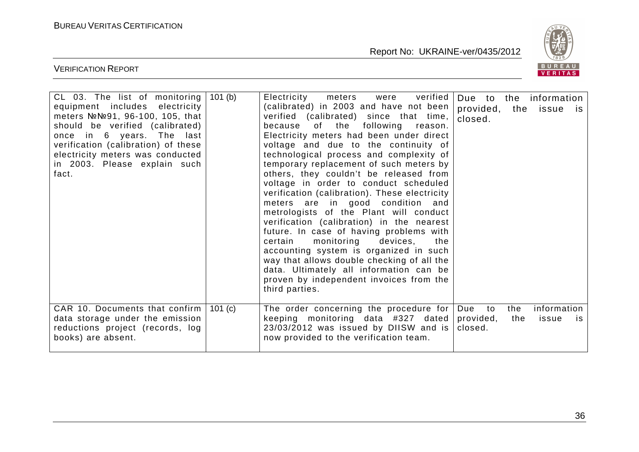

| CL 03. The list of monitoring $ 101$ (b)<br>equipment includes electricity<br>meters NºNº91, 96-100, 105, that<br>should be verified (calibrated)<br>once in 6 years. The last<br>verification (calibration) of these<br>electricity meters was conducted<br>in 2003. Please explain such<br>fact. | verified  <br>Electricity<br>meters<br>were<br>(calibrated) in 2003 and have not been<br>verified (calibrated) since that time,<br>of the following<br>because<br>reason.<br>Electricity meters had been under direct<br>voltage and due to the continuity of<br>technological process and complexity of<br>temporary replacement of such meters by<br>others, they couldn't be released from<br>voltage in order to conduct scheduled<br>verification (calibration). These electricity<br>meters are in good condition and<br>metrologists of the Plant will conduct<br>verification (calibration) in the nearest<br>future. In case of having problems with<br>monitoring<br>devices,<br>certain<br>the<br>accounting system is organized in such<br>way that allows double checking of all the<br>data. Ultimately all information can be<br>proven by independent invoices from the<br>third parties. | provided, the issue<br>closed.    |            | Due to the information<br><b>IS</b> |
|----------------------------------------------------------------------------------------------------------------------------------------------------------------------------------------------------------------------------------------------------------------------------------------------------|-----------------------------------------------------------------------------------------------------------------------------------------------------------------------------------------------------------------------------------------------------------------------------------------------------------------------------------------------------------------------------------------------------------------------------------------------------------------------------------------------------------------------------------------------------------------------------------------------------------------------------------------------------------------------------------------------------------------------------------------------------------------------------------------------------------------------------------------------------------------------------------------------------------|-----------------------------------|------------|-------------------------------------|
| CAR 10. Documents that confirm $ 101$ (c)<br>data storage under the emission<br>reductions project (records, log<br>books) are absent.                                                                                                                                                             | The order concerning the procedure for<br>keeping monitoring data #327 dated<br>23/03/2012 was issued by DIISW and is<br>now provided to the verification team.                                                                                                                                                                                                                                                                                                                                                                                                                                                                                                                                                                                                                                                                                                                                           | Due<br>to<br>provided,<br>closed. | the<br>the | information<br>issue<br>is.         |